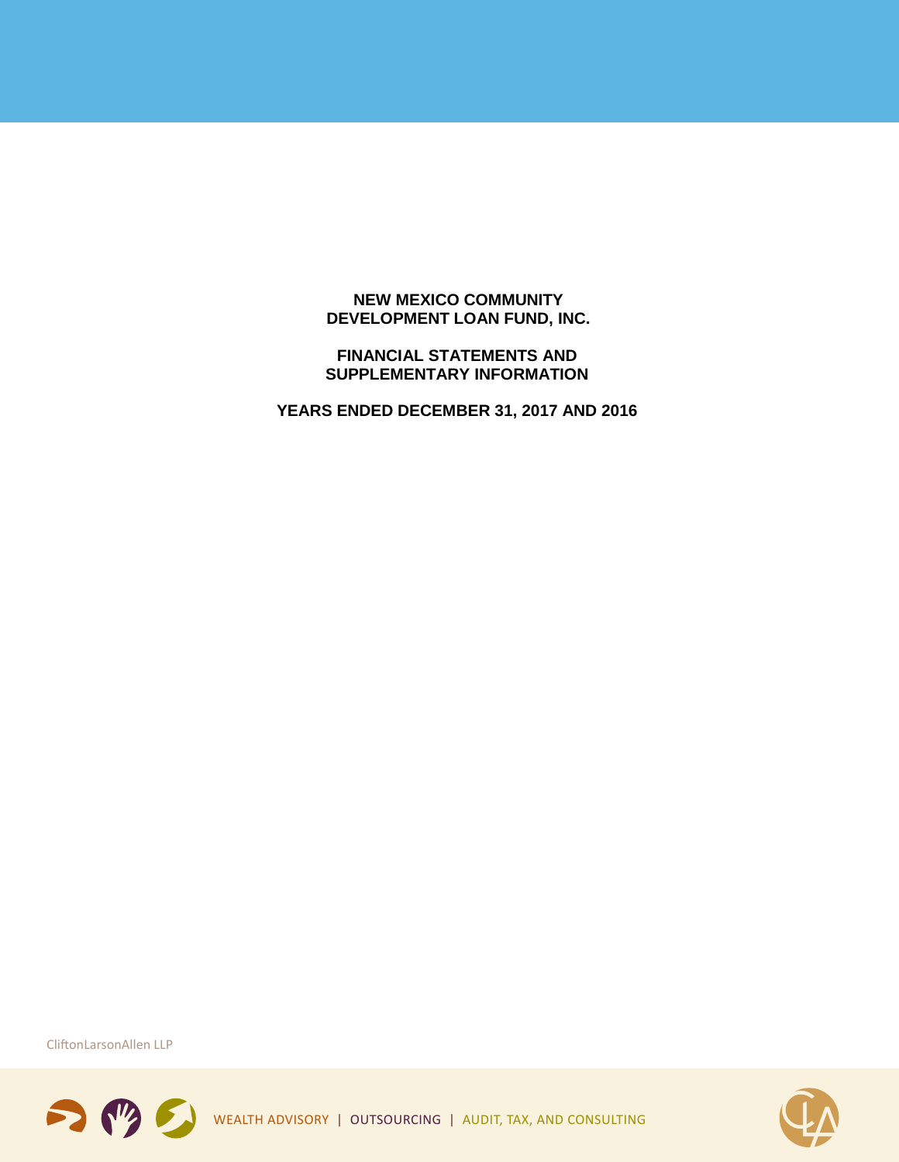# **NEW MEXICO COMMUNITY DEVELOPMENT LOAN FUND, INC.**

**FINANCIAL STATEMENTS AND SUPPLEMENTARY INFORMATION**

**YEARS ENDED DECEMBER 31, 2017 AND 2016**

CliftonLarsonAllen LLP



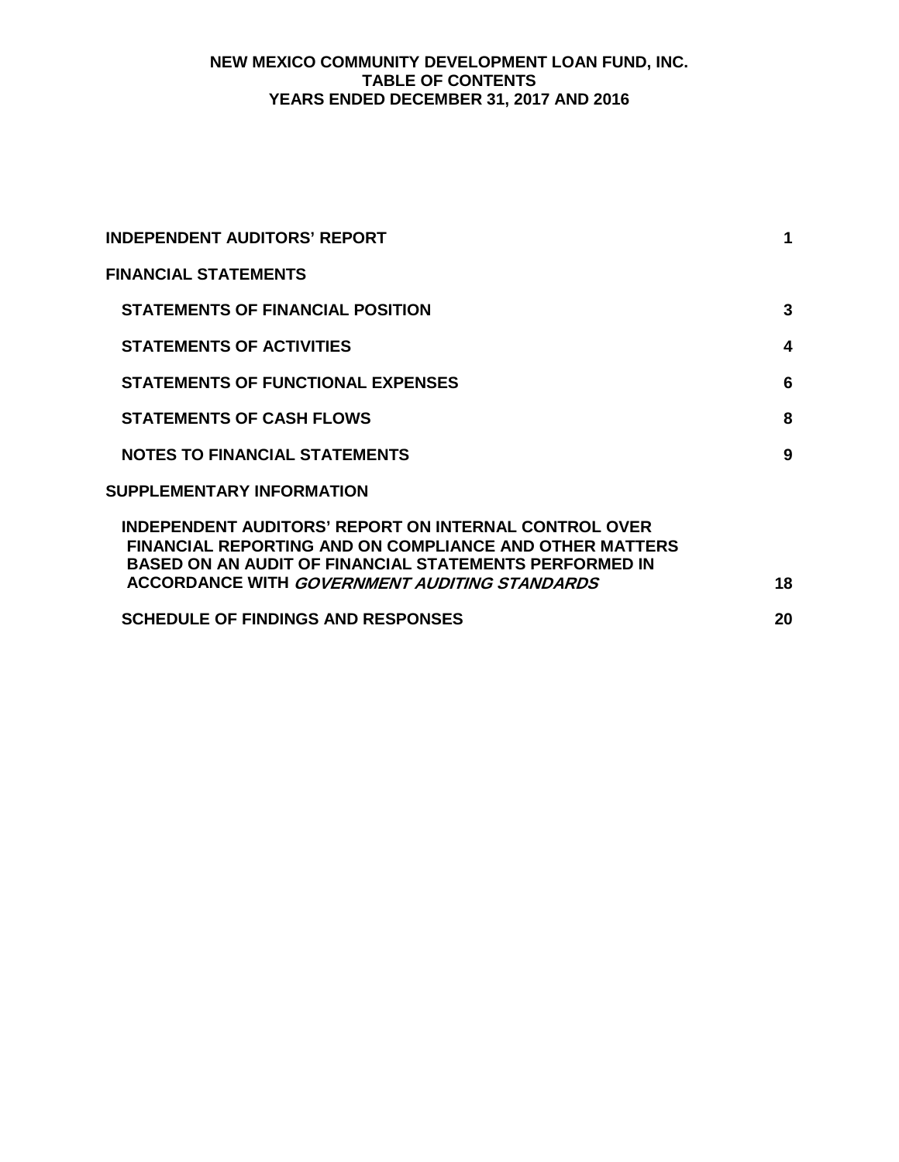### **NEW MEXICO COMMUNITY DEVELOPMENT LOAN FUND, INC. TABLE OF CONTENTS YEARS ENDED DECEMBER 31, 2017 AND 2016**

| <b>INDEPENDENT AUDITORS' REPORT</b>                                                                                                                                                      | 1  |
|------------------------------------------------------------------------------------------------------------------------------------------------------------------------------------------|----|
| <b>FINANCIAL STATEMENTS</b>                                                                                                                                                              |    |
| <b>STATEMENTS OF FINANCIAL POSITION</b>                                                                                                                                                  | 3  |
| <b>STATEMENTS OF ACTIVITIES</b>                                                                                                                                                          | 4  |
| <b>STATEMENTS OF FUNCTIONAL EXPENSES</b>                                                                                                                                                 | 6  |
| <b>STATEMENTS OF CASH FLOWS</b>                                                                                                                                                          | 8  |
| <b>NOTES TO FINANCIAL STATEMENTS</b>                                                                                                                                                     | 9  |
| <b>SUPPLEMENTARY INFORMATION</b>                                                                                                                                                         |    |
| <b>INDEPENDENT AUDITORS' REPORT ON INTERNAL CONTROL OVER</b><br><b>FINANCIAL REPORTING AND ON COMPLIANCE AND OTHER MATTERS</b><br>BASED ON AN AUDIT OF FINANCIAL STATEMENTS PERFORMED IN |    |
| <b>ACCORDANCE WITH GOVERNMENT AUDITING STANDARDS</b>                                                                                                                                     | 18 |
| <b>SCHEDULE OF FINDINGS AND RESPONSES</b>                                                                                                                                                | 20 |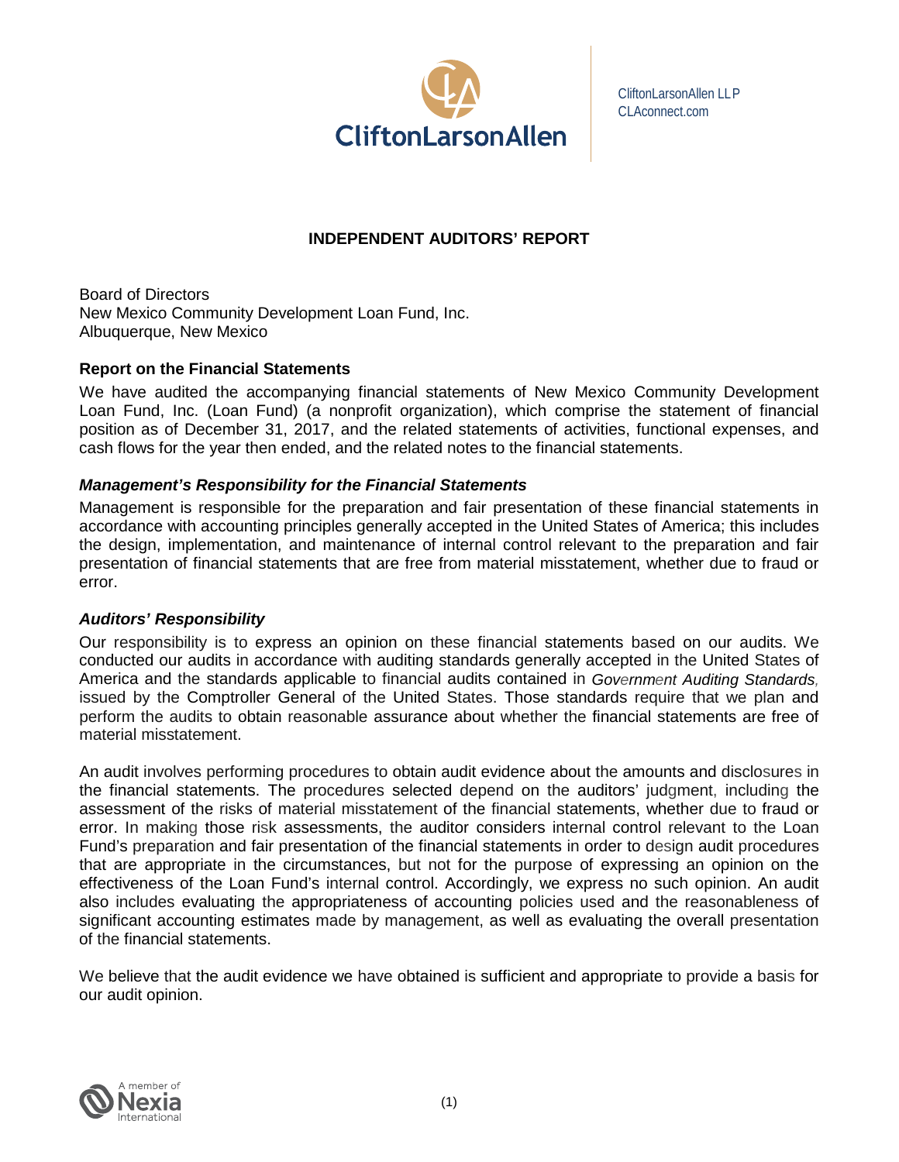

CliftonLarsonAllen LLP CLAconnect.com

# **INDEPENDENT AUDITORS' REPORT**

Board of Directors New Mexico Community Development Loan Fund, Inc. Albuquerque, New Mexico

#### **Report on the Financial Statements**

We have audited the accompanying financial statements of New Mexico Community Development Loan Fund, Inc. (Loan Fund) (a nonprofit organization), which comprise the statement of financial position as of December 31, 2017, and the related statements of activities, functional expenses, and cash flows for the year then ended, and the related notes to the financial statements.

#### *Management's Responsibility for the Financial Statements*

Management is responsible for the preparation and fair presentation of these financial statements in accordance with accounting principles generally accepted in the United States of America; this includes the design, implementation, and maintenance of internal control relevant to the preparation and fair presentation of financial statements that are free from material misstatement, whether due to fraud or error.

#### *Auditors' Responsibility*

Our responsibility is to express an opinion on these financial statements based on our audits. We conducted our audits in accordance with auditing standards generally accepted in the United States of America and the standards applicable to financial audits contained in *Government Auditing Standards,*  issued by the Comptroller General of the United States. Those standards require that we plan and perform the audits to obtain reasonable assurance about whether the financial statements are free of material misstatement.

An audit involves performing procedures to obtain audit evidence about the amounts and disclosures in the financial statements. The procedures selected depend on the auditors' judgment, including the assessment of the risks of material misstatement of the financial statements, whether due to fraud or error. In making those risk assessments, the auditor considers internal control relevant to the Loan Fund's preparation and fair presentation of the financial statements in order to design audit procedures that are appropriate in the circumstances, but not for the purpose of expressing an opinion on the effectiveness of the Loan Fund's internal control. Accordingly, we express no such opinion. An audit also includes evaluating the appropriateness of accounting policies used and the reasonableness of significant accounting estimates made by management, as well as evaluating the overall presentation of the financial statements.

We believe that the audit evidence we have obtained is sufficient and appropriate to provide a basis for our audit opinion.

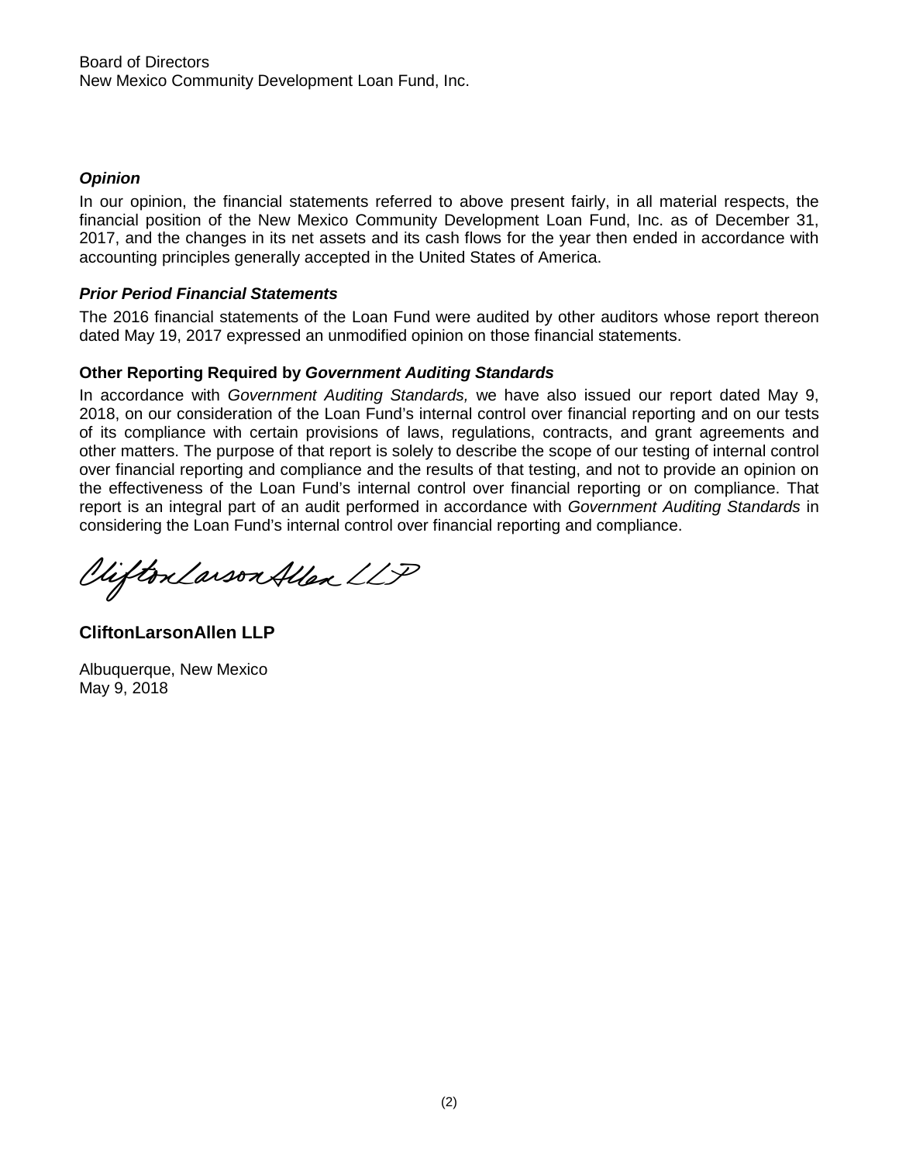# *Opinion*

In our opinion, the financial statements referred to above present fairly, in all material respects, the financial position of the New Mexico Community Development Loan Fund, Inc. as of December 31, 2017, and the changes in its net assets and its cash flows for the year then ended in accordance with accounting principles generally accepted in the United States of America.

# *Prior Period Financial Statements*

The 2016 financial statements of the Loan Fund were audited by other auditors whose report thereon dated May 19, 2017 expressed an unmodified opinion on those financial statements.

# **Other Reporting Required by** *Government Auditing Standards*

In accordance with *Government Auditing Standards,* we have also issued our report dated May 9, 2018, on our consideration of the Loan Fund's internal control over financial reporting and on our tests of its compliance with certain provisions of laws, regulations, contracts, and grant agreements and other matters. The purpose of that report is solely to describe the scope of our testing of internal control over financial reporting and compliance and the results of that testing, and not to provide an opinion on the effectiveness of the Loan Fund's internal control over financial reporting or on compliance. That report is an integral part of an audit performed in accordance with *Government Auditing Standards* in considering the Loan Fund's internal control over financial reporting and compliance.

Vifton Larson Allen LLP

**CliftonLarsonAllen LLP**

Albuquerque, New Mexico May 9, 2018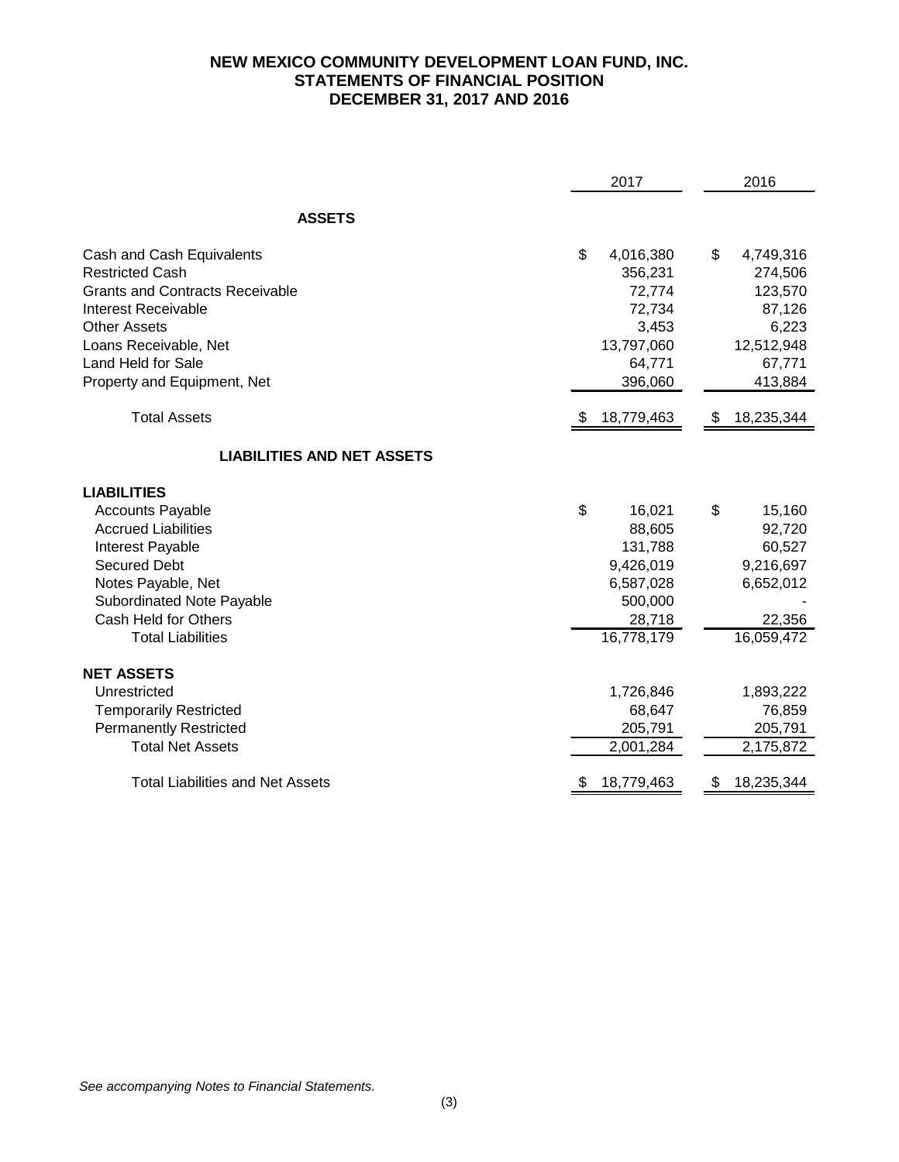# **NEW MEXICO COMMUNITY DEVELOPMENT LOAN FUND, INC. STATEMENTS OF FINANCIAL POSITION DECEMBER 31, 2017 AND 2016**

|                                                                                                                                                                                                                               | 2017 |                                                                                          |    | 2016                                                                         |  |
|-------------------------------------------------------------------------------------------------------------------------------------------------------------------------------------------------------------------------------|------|------------------------------------------------------------------------------------------|----|------------------------------------------------------------------------------|--|
| <b>ASSETS</b>                                                                                                                                                                                                                 |      |                                                                                          |    |                                                                              |  |
| Cash and Cash Equivalents<br><b>Restricted Cash</b><br><b>Grants and Contracts Receivable</b><br><b>Interest Receivable</b><br><b>Other Assets</b><br>Loans Receivable, Net<br>Land Held for Sale                             | \$   | 4,016,380<br>356,231<br>72,774<br>72,734<br>3,453<br>13,797,060<br>64,771                | \$ | 4,749,316<br>274,506<br>123,570<br>87,126<br>6,223<br>12,512,948<br>67,771   |  |
| Property and Equipment, Net<br><b>Total Assets</b>                                                                                                                                                                            | S.   | 396,060<br>18,779,463                                                                    | \$ | 413,884<br>18,235,344                                                        |  |
| <b>LIABILITIES AND NET ASSETS</b>                                                                                                                                                                                             |      |                                                                                          |    |                                                                              |  |
| <b>LIABILITIES</b><br><b>Accounts Payable</b><br><b>Accrued Liabilities</b><br>Interest Payable<br><b>Secured Debt</b><br>Notes Payable, Net<br>Subordinated Note Payable<br>Cash Held for Others<br><b>Total Liabilities</b> | \$   | 16,021<br>88,605<br>131,788<br>9,426,019<br>6,587,028<br>500,000<br>28,718<br>16,778,179 | \$ | 15,160<br>92,720<br>60,527<br>9,216,697<br>6,652,012<br>22,356<br>16,059,472 |  |
| <b>NET ASSETS</b><br>Unrestricted<br><b>Temporarily Restricted</b><br><b>Permanently Restricted</b><br><b>Total Net Assets</b>                                                                                                |      | 1,726,846<br>68,647<br>205,791<br>2,001,284                                              |    | 1,893,222<br>76,859<br>205,791<br>2,175,872                                  |  |
| <b>Total Liabilities and Net Assets</b>                                                                                                                                                                                       | \$   | 18,779,463                                                                               | \$ | 18,235,344                                                                   |  |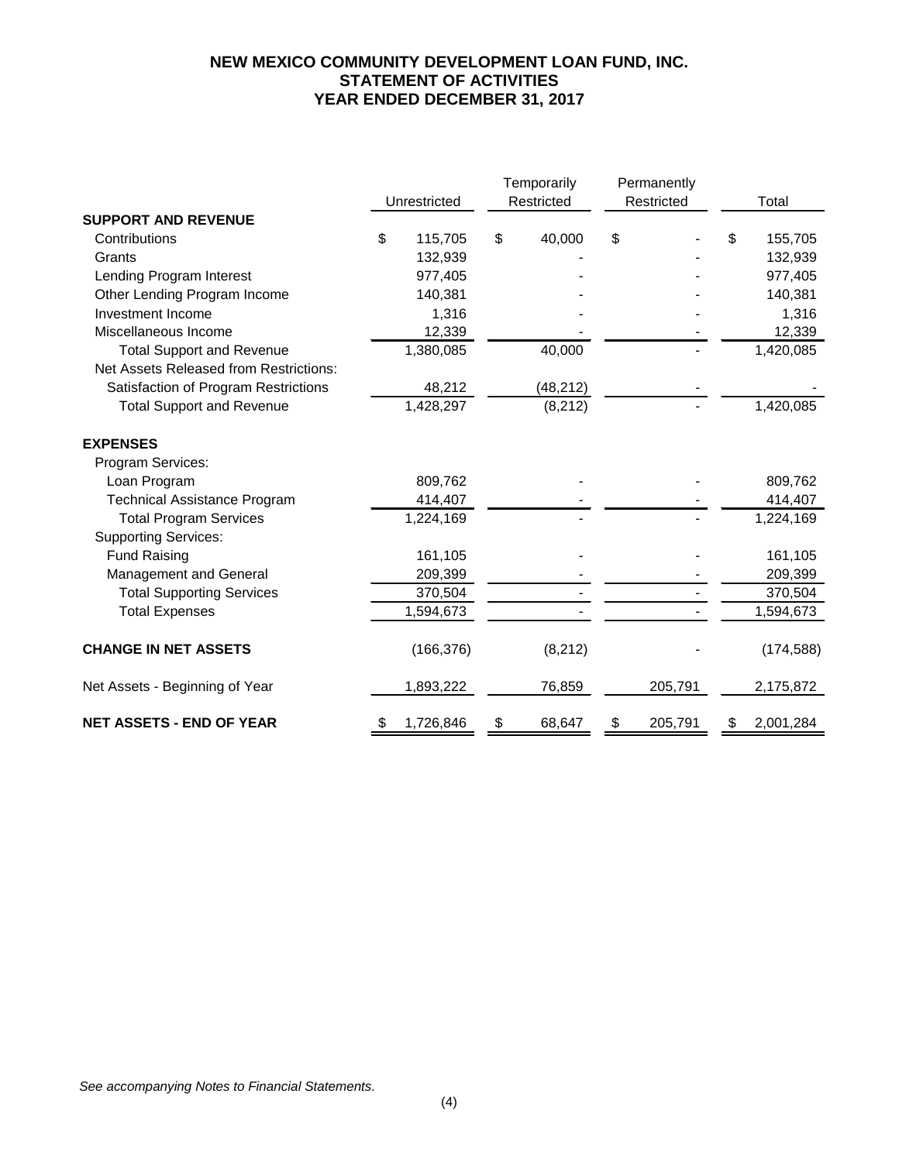# **NEW MEXICO COMMUNITY DEVELOPMENT LOAN FUND, INC. STATEMENT OF ACTIVITIES YEAR ENDED DECEMBER 31, 2017**

|                                        |                 |            | Temporarily | Permanently   |                 |
|----------------------------------------|-----------------|------------|-------------|---------------|-----------------|
|                                        | Unrestricted    | Restricted |             | Restricted    | Total           |
| <b>SUPPORT AND REVENUE</b>             |                 |            |             |               |                 |
| Contributions                          | \$<br>115,705   | \$         | 40,000      | \$            | \$<br>155,705   |
| Grants                                 | 132,939         |            |             |               | 132,939         |
| Lending Program Interest               | 977,405         |            |             |               | 977,405         |
| Other Lending Program Income           | 140,381         |            |             |               | 140,381         |
| Investment Income                      | 1,316           |            |             |               | 1,316           |
| Miscellaneous Income                   | 12,339          |            |             |               | 12,339          |
| <b>Total Support and Revenue</b>       | 1,380,085       |            | 40,000      |               | 1,420,085       |
| Net Assets Released from Restrictions: |                 |            |             |               |                 |
| Satisfaction of Program Restrictions   | 48,212          |            | (48, 212)   |               |                 |
| <b>Total Support and Revenue</b>       | 1,428,297       |            | (8, 212)    |               | 1,420,085       |
| <b>EXPENSES</b>                        |                 |            |             |               |                 |
| Program Services:                      |                 |            |             |               |                 |
| Loan Program                           | 809,762         |            |             |               | 809,762         |
| <b>Technical Assistance Program</b>    | 414,407         |            |             |               | 414,407         |
| <b>Total Program Services</b>          | 1,224,169       |            |             |               | 1,224,169       |
| <b>Supporting Services:</b>            |                 |            |             |               |                 |
| <b>Fund Raising</b>                    | 161,105         |            |             |               | 161,105         |
| Management and General                 | 209,399         |            |             |               | 209,399         |
| <b>Total Supporting Services</b>       | 370,504         |            |             |               | 370,504         |
| <b>Total Expenses</b>                  | 1,594,673       |            |             |               | 1,594,673       |
| <b>CHANGE IN NET ASSETS</b>            | (166, 376)      |            | (8, 212)    |               | (174, 588)      |
| Net Assets - Beginning of Year         | 1,893,222       |            | 76,859      | 205,791       | 2,175,872       |
| <b>NET ASSETS - END OF YEAR</b>        | \$<br>1,726,846 | \$         | 68,647      | \$<br>205,791 | \$<br>2,001,284 |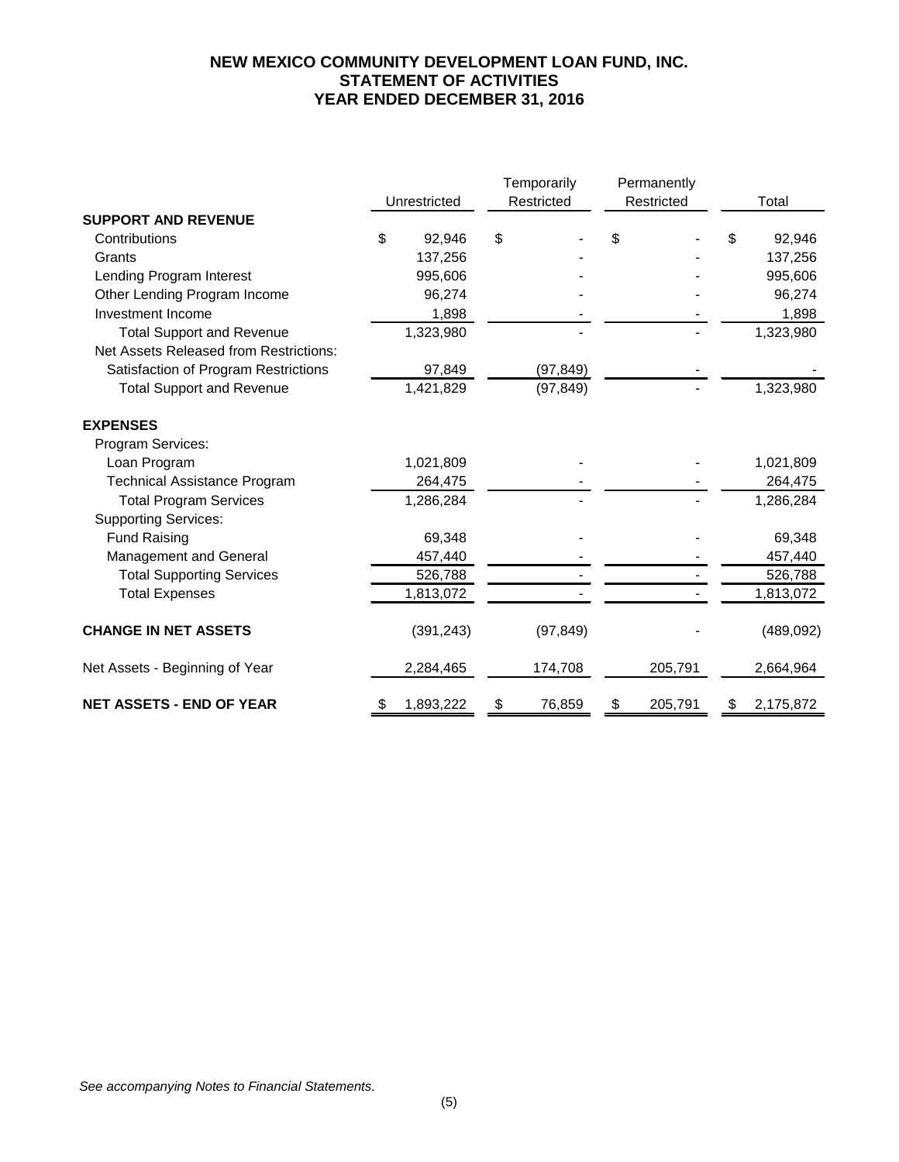# **NEW MEXICO COMMUNITY DEVELOPMENT LOAN FUND, INC. STATEMENT OF ACTIVITIES YEAR ENDED DECEMBER 31, 2016**

|                                        |              |            | Temporarily  |            | Permanently |    |            |
|----------------------------------------|--------------|------------|--------------|------------|-------------|----|------------|
|                                        | Unrestricted |            | Restricted   | Restricted |             |    | Total      |
| <b>SUPPORT AND REVENUE</b>             |              |            |              |            |             |    |            |
| Contributions                          | \$           | 92,946     | \$           | \$         |             | \$ | 92,946     |
| Grants                                 |              | 137,256    |              |            |             |    | 137,256    |
| Lending Program Interest               |              | 995,606    |              |            |             |    | 995,606    |
| Other Lending Program Income           |              | 96,274     |              |            |             |    | 96,274     |
| Investment Income                      |              | 1,898      |              |            |             |    | 1,898      |
| <b>Total Support and Revenue</b>       |              | 1,323,980  |              |            |             |    | 1,323,980  |
| Net Assets Released from Restrictions: |              |            |              |            |             |    |            |
| Satisfaction of Program Restrictions   |              | 97,849     | (97, 849)    |            |             |    |            |
| <b>Total Support and Revenue</b>       |              | 1,421,829  | (97, 849)    |            |             |    | 1,323,980  |
| <b>EXPENSES</b>                        |              |            |              |            |             |    |            |
| Program Services:                      |              |            |              |            |             |    |            |
| Loan Program                           |              | 1,021,809  |              |            |             |    | 1,021,809  |
| <b>Technical Assistance Program</b>    |              | 264,475    |              |            |             |    | 264,475    |
| <b>Total Program Services</b>          |              | 1,286,284  |              |            |             |    | 1,286,284  |
| <b>Supporting Services:</b>            |              |            |              |            |             |    |            |
| <b>Fund Raising</b>                    |              | 69,348     |              |            |             |    | 69,348     |
| Management and General                 |              | 457,440    |              |            |             |    | 457,440    |
| <b>Total Supporting Services</b>       |              | 526,788    |              |            |             |    | 526,788    |
| <b>Total Expenses</b>                  |              | 1,813,072  |              |            |             |    | 1,813,072  |
| <b>CHANGE IN NET ASSETS</b>            |              | (391, 243) | (97, 849)    |            |             |    | (489, 092) |
| Net Assets - Beginning of Year         |              | 2,284,465  | 174,708      |            | 205,791     |    | 2,664,964  |
| <b>NET ASSETS - END OF YEAR</b>        | \$           | 1,893,222  | \$<br>76,859 | \$         | 205,791     | S  | 2,175,872  |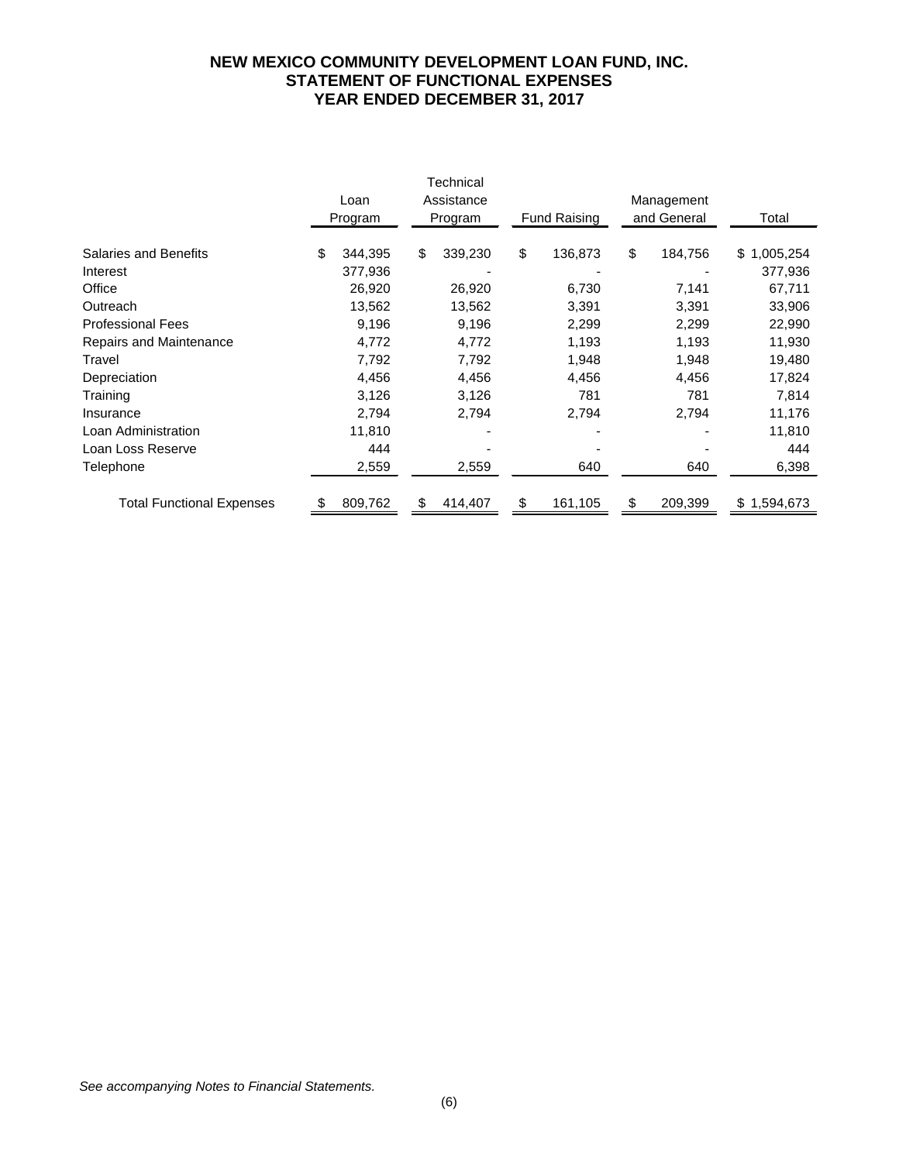## **NEW MEXICO COMMUNITY DEVELOPMENT LOAN FUND, INC. STATEMENT OF FUNCTIONAL EXPENSES YEAR ENDED DECEMBER 31, 2017**

|                                  |    |         | Technical     |                     |               |                 |
|----------------------------------|----|---------|---------------|---------------------|---------------|-----------------|
|                                  |    | Loan    | Assistance    |                     | Management    |                 |
|                                  |    | Program | Program       | <b>Fund Raising</b> | and General   | Total           |
| <b>Salaries and Benefits</b>     | \$ | 344,395 | \$<br>339,230 | \$<br>136,873       | \$<br>184,756 | 1,005,254<br>\$ |
| Interest                         |    | 377,936 |               |                     |               | 377,936         |
| Office                           |    | 26,920  | 26,920        | 6,730               | 7,141         | 67,711          |
| Outreach                         |    | 13,562  | 13,562        | 3,391               | 3,391         | 33,906          |
| <b>Professional Fees</b>         |    | 9,196   | 9,196         | 2,299               | 2,299         | 22,990          |
| Repairs and Maintenance          |    | 4,772   | 4,772         | 1,193               | 1,193         | 11,930          |
| Travel                           |    | 7,792   | 7,792         | 1,948               | 1,948         | 19,480          |
| Depreciation                     |    | 4,456   | 4,456         | 4,456               | 4,456         | 17,824          |
| Training                         |    | 3,126   | 3,126         | 781                 | 781           | 7,814           |
| Insurance                        |    | 2,794   | 2,794         | 2,794               | 2,794         | 11,176          |
| Loan Administration              |    | 11,810  |               |                     |               | 11,810          |
| Loan Loss Reserve                |    | 444     |               |                     |               | 444             |
| Telephone                        |    | 2,559   | 2,559         | 640                 | 640           | 6,398           |
| <b>Total Functional Expenses</b> | S  | 809,762 | \$<br>414,407 | \$<br>161,105       | \$<br>209,399 | \$1,594,673     |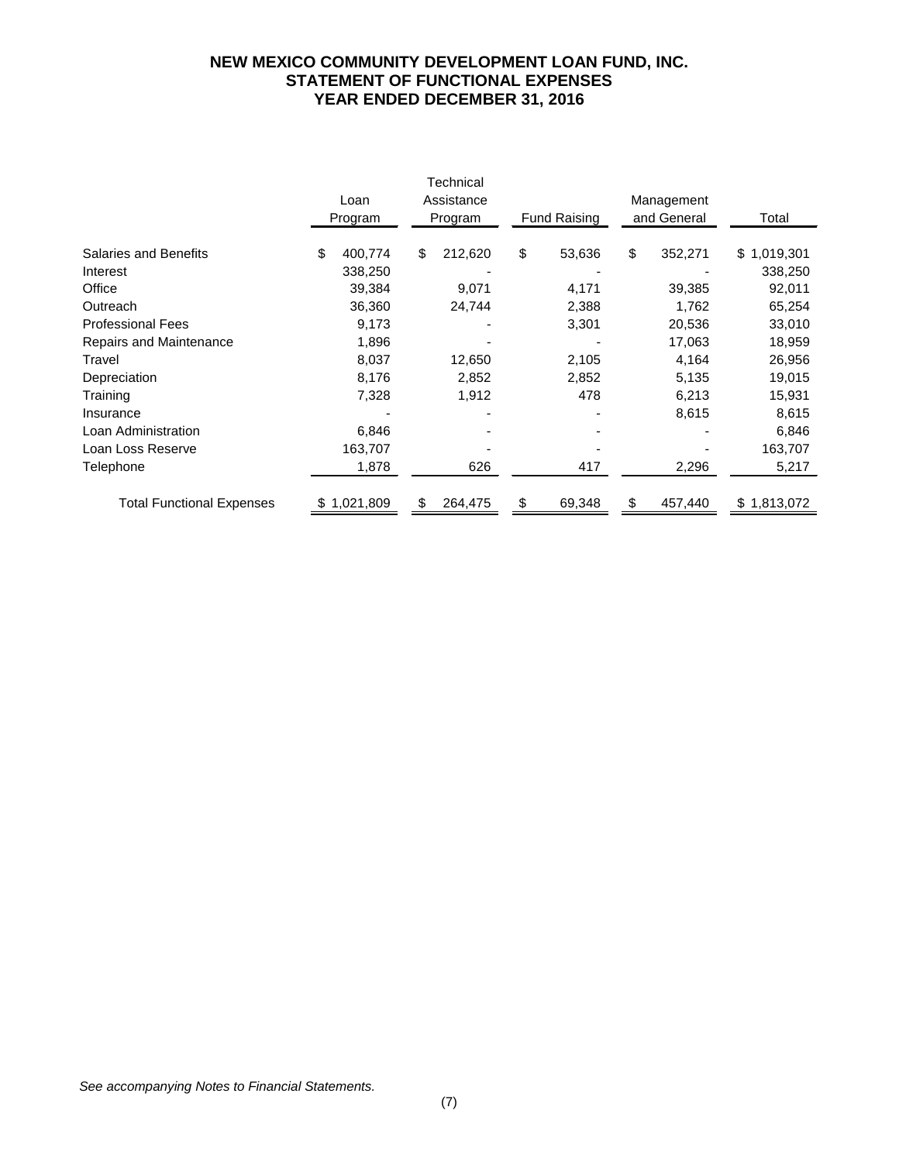# **NEW MEXICO COMMUNITY DEVELOPMENT LOAN FUND, INC. STATEMENT OF FUNCTIONAL EXPENSES YEAR ENDED DECEMBER 31, 2016**

|                                  |               | Technical     |        |                     |               |             |
|----------------------------------|---------------|---------------|--------|---------------------|---------------|-------------|
|                                  | Loan          | Assistance    |        |                     | Management    |             |
|                                  | Program       | Program       |        | <b>Fund Raising</b> | and General   | Total       |
| <b>Salaries and Benefits</b>     | \$<br>400,774 | \$<br>212,620 |        | \$<br>53,636        | \$<br>352,271 | \$1,019,301 |
| Interest                         | 338,250       |               |        |                     |               | 338,250     |
| Office                           | 39,384        |               | 9,071  | 4,171               | 39,385        | 92,011      |
| Outreach                         | 36,360        | 24,744        |        | 2,388               | 1,762         | 65,254      |
| <b>Professional Fees</b>         | 9,173         |               |        | 3,301               | 20,536        | 33,010      |
| Repairs and Maintenance          | 1,896         |               |        |                     | 17,063        | 18,959      |
| Travel                           | 8,037         |               | 12,650 | 2,105               | 4,164         | 26,956      |
| Depreciation                     | 8,176         |               | 2,852  | 2,852               | 5,135         | 19,015      |
| Training                         | 7,328         |               | 1,912  | 478                 | 6,213         | 15,931      |
| Insurance                        |               |               |        |                     | 8,615         | 8,615       |
| Loan Administration              | 6,846         |               |        |                     |               | 6,846       |
| Loan Loss Reserve                | 163,707       |               |        |                     |               | 163,707     |
| Telephone                        | 1,878         |               | 626    | 417                 | 2,296         | 5,217       |
| <b>Total Functional Expenses</b> | \$1,021,809   | \$<br>264,475 |        | \$<br>69,348        | \$<br>457,440 | \$1,813,072 |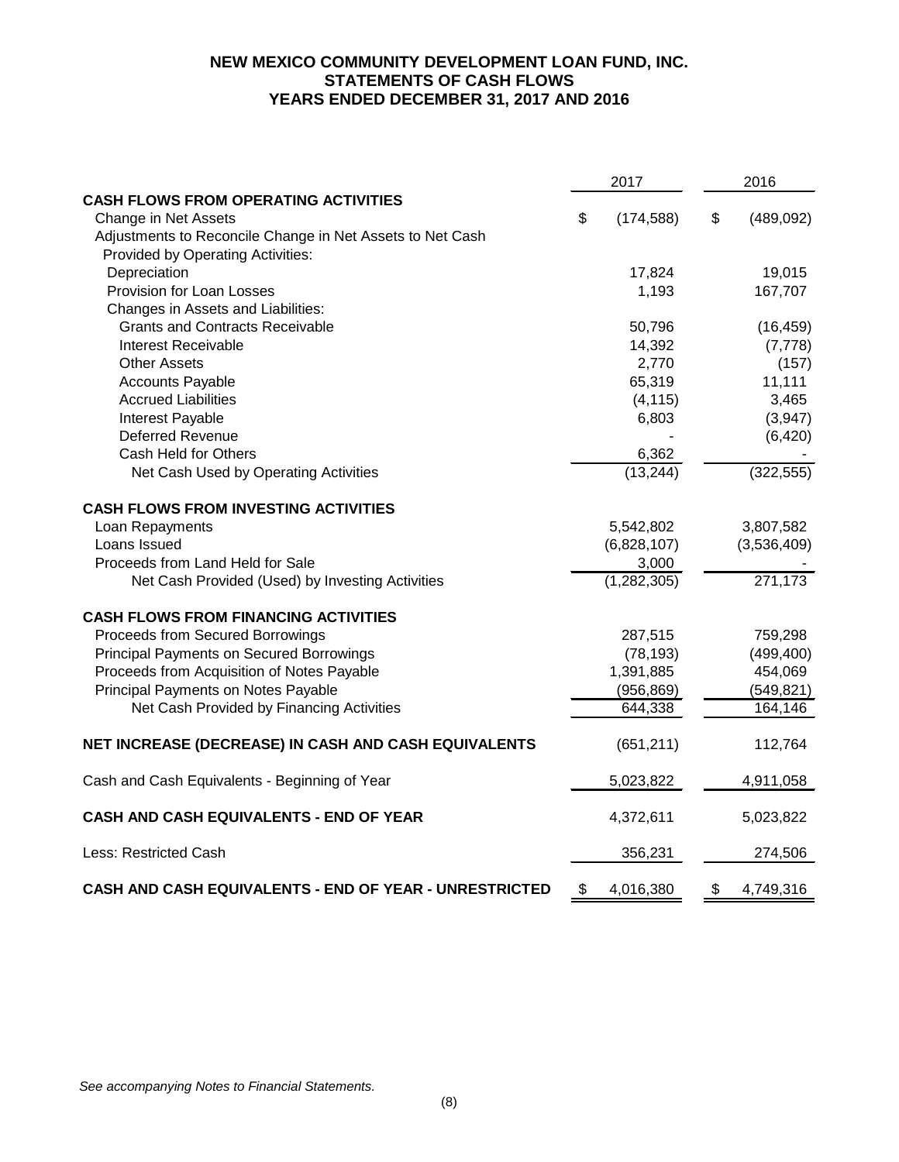## **NEW MEXICO COMMUNITY DEVELOPMENT LOAN FUND, INC. STATEMENTS OF CASH FLOWS YEARS ENDED DECEMBER 31, 2017 AND 2016**

|                                                           |    | 2017          | 2016 |             |  |
|-----------------------------------------------------------|----|---------------|------|-------------|--|
| <b>CASH FLOWS FROM OPERATING ACTIVITIES</b>               |    |               |      |             |  |
| Change in Net Assets                                      | \$ | (174, 588)    | \$   | (489,092)   |  |
| Adjustments to Reconcile Change in Net Assets to Net Cash |    |               |      |             |  |
| Provided by Operating Activities:                         |    |               |      |             |  |
| Depreciation                                              |    | 17,824        |      | 19,015      |  |
| Provision for Loan Losses                                 |    | 1,193         |      | 167,707     |  |
| Changes in Assets and Liabilities:                        |    |               |      |             |  |
| <b>Grants and Contracts Receivable</b>                    |    | 50,796        |      | (16, 459)   |  |
| <b>Interest Receivable</b>                                |    | 14,392        |      | (7, 778)    |  |
| <b>Other Assets</b>                                       |    | 2,770         |      | (157)       |  |
| <b>Accounts Payable</b>                                   |    | 65,319        |      | 11,111      |  |
| <b>Accrued Liabilities</b>                                |    | (4, 115)      |      | 3,465       |  |
| <b>Interest Payable</b>                                   |    | 6,803         |      | (3,947)     |  |
| <b>Deferred Revenue</b>                                   |    |               |      | (6, 420)    |  |
| Cash Held for Others                                      |    | 6,362         |      |             |  |
| Net Cash Used by Operating Activities                     |    | (13, 244)     |      | (322, 555)  |  |
| <b>CASH FLOWS FROM INVESTING ACTIVITIES</b>               |    |               |      |             |  |
| Loan Repayments                                           |    | 5,542,802     |      | 3,807,582   |  |
| Loans Issued                                              |    | (6,828,107)   |      | (3,536,409) |  |
| Proceeds from Land Held for Sale                          |    | 3,000         |      |             |  |
| Net Cash Provided (Used) by Investing Activities          |    | (1, 282, 305) |      | 271,173     |  |
| <b>CASH FLOWS FROM FINANCING ACTIVITIES</b>               |    |               |      |             |  |
| Proceeds from Secured Borrowings                          |    | 287,515       |      | 759,298     |  |
| <b>Principal Payments on Secured Borrowings</b>           |    | (78, 193)     |      | (499, 400)  |  |
| Proceeds from Acquisition of Notes Payable                |    | 1,391,885     |      | 454,069     |  |
| Principal Payments on Notes Payable                       |    | (956, 869)    |      | (549, 821)  |  |
| Net Cash Provided by Financing Activities                 |    | 644,338       |      | 164,146     |  |
| NET INCREASE (DECREASE) IN CASH AND CASH EQUIVALENTS      |    | (651, 211)    |      | 112,764     |  |
| Cash and Cash Equivalents - Beginning of Year             |    | 5,023,822     |      | 4,911,058   |  |
| CASH AND CASH EQUIVALENTS - END OF YEAR                   |    | 4,372,611     |      | 5,023,822   |  |
| Less: Restricted Cash                                     |    | 356,231       |      | 274,506     |  |
| CASH AND CASH EQUIVALENTS - END OF YEAR - UNRESTRICTED    | \$ | 4,016,380     | \$   | 4,749,316   |  |

*See accompanying Notes to Financial Statements.*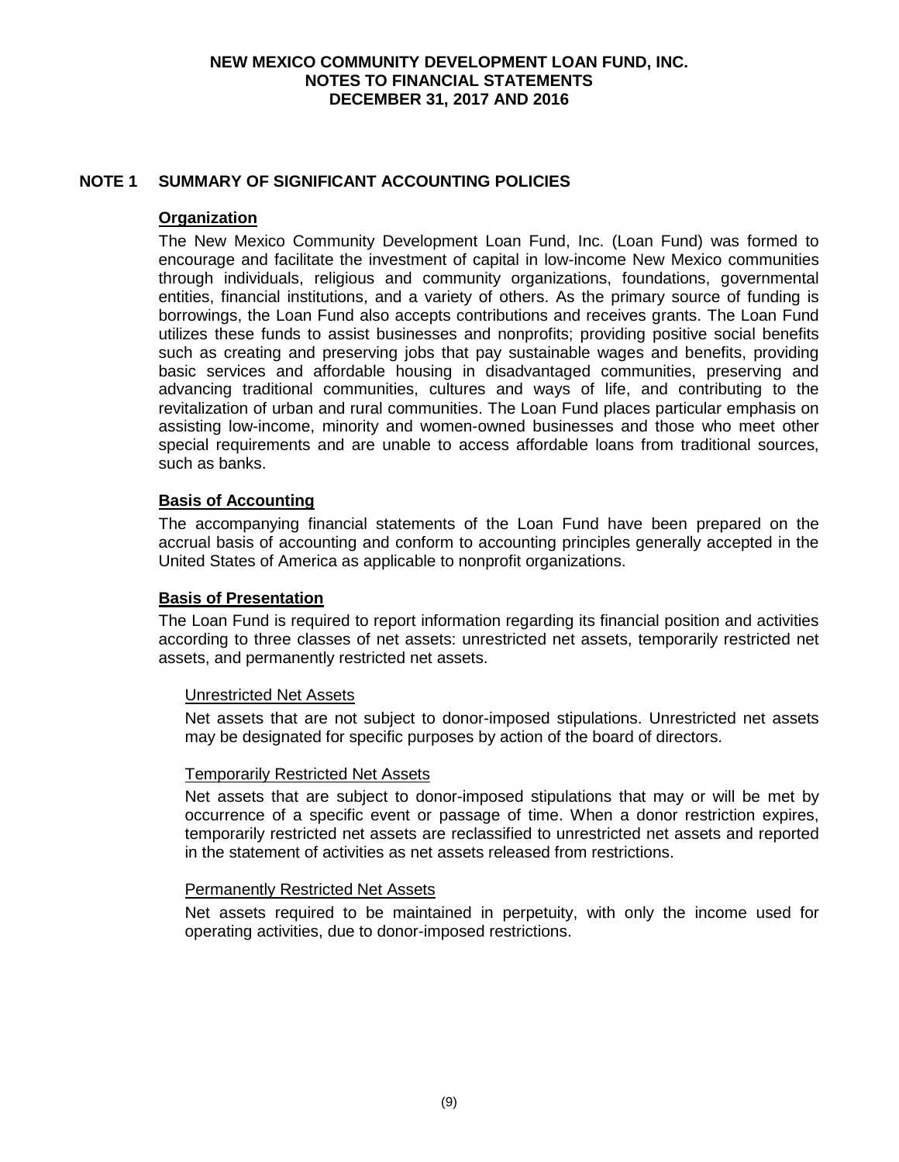# **NOTE 1 SUMMARY OF SIGNIFICANT ACCOUNTING POLICIES**

#### **Organization**

The New Mexico Community Development Loan Fund, Inc. (Loan Fund) was formed to encourage and facilitate the investment of capital in low-income New Mexico communities through individuals, religious and community organizations, foundations, governmental entities, financial institutions, and a variety of others. As the primary source of funding is borrowings, the Loan Fund also accepts contributions and receives grants. The Loan Fund utilizes these funds to assist businesses and nonprofits; providing positive social benefits such as creating and preserving jobs that pay sustainable wages and benefits, providing basic services and affordable housing in disadvantaged communities, preserving and advancing traditional communities, cultures and ways of life, and contributing to the revitalization of urban and rural communities. The Loan Fund places particular emphasis on assisting low-income, minority and women-owned businesses and those who meet other special requirements and are unable to access affordable loans from traditional sources, such as banks.

## **Basis of Accounting**

The accompanying financial statements of the Loan Fund have been prepared on the accrual basis of accounting and conform to accounting principles generally accepted in the United States of America as applicable to nonprofit organizations.

#### **Basis of Presentation**

The Loan Fund is required to report information regarding its financial position and activities according to three classes of net assets: unrestricted net assets, temporarily restricted net assets, and permanently restricted net assets.

#### Unrestricted Net Assets

Net assets that are not subject to donor-imposed stipulations. Unrestricted net assets may be designated for specific purposes by action of the board of directors.

#### Temporarily Restricted Net Assets

Net assets that are subject to donor-imposed stipulations that may or will be met by occurrence of a specific event or passage of time. When a donor restriction expires, temporarily restricted net assets are reclassified to unrestricted net assets and reported in the statement of activities as net assets released from restrictions.

#### Permanently Restricted Net Assets

Net assets required to be maintained in perpetuity, with only the income used for operating activities, due to donor-imposed restrictions.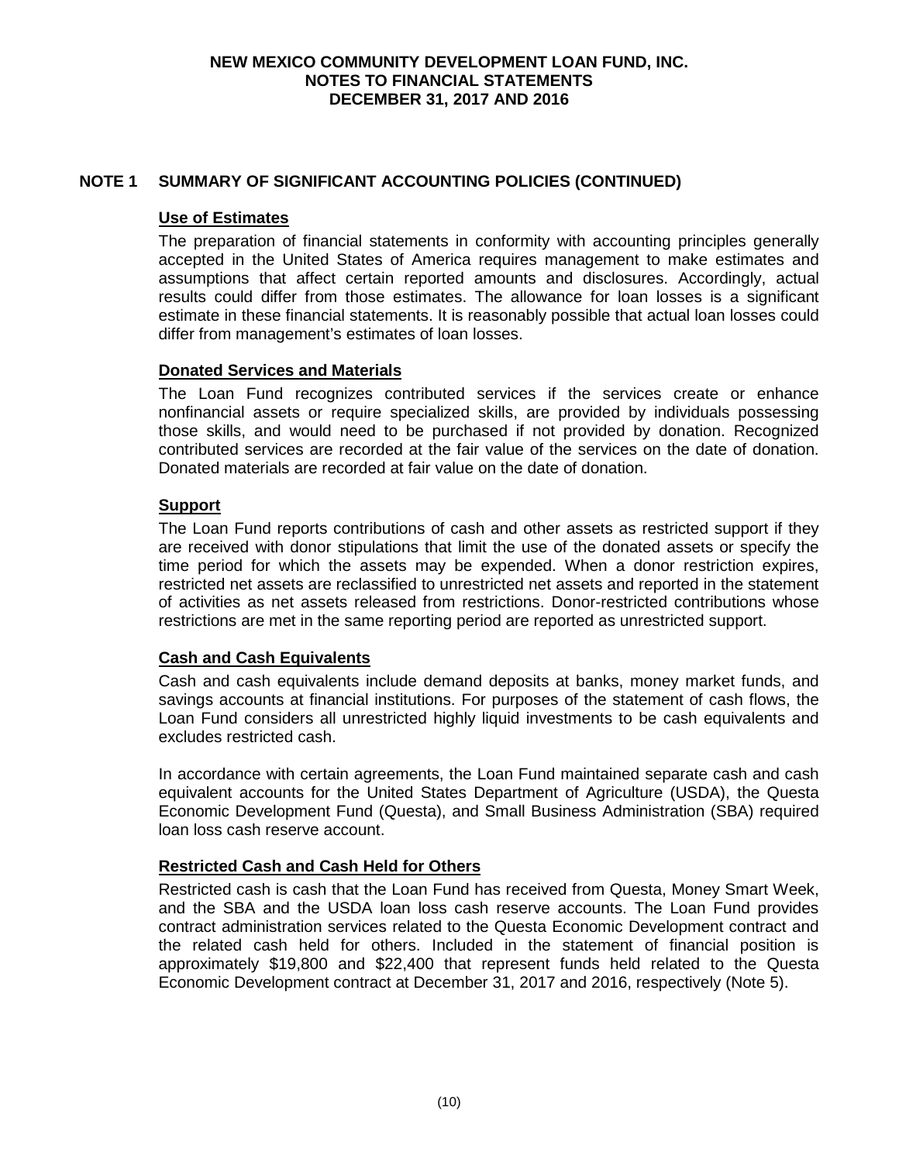# **NOTE 1 SUMMARY OF SIGNIFICANT ACCOUNTING POLICIES (CONTINUED)**

#### **Use of Estimates**

The preparation of financial statements in conformity with accounting principles generally accepted in the United States of America requires management to make estimates and assumptions that affect certain reported amounts and disclosures. Accordingly, actual results could differ from those estimates. The allowance for loan losses is a significant estimate in these financial statements. It is reasonably possible that actual loan losses could differ from management's estimates of loan losses.

## **Donated Services and Materials**

The Loan Fund recognizes contributed services if the services create or enhance nonfinancial assets or require specialized skills, are provided by individuals possessing those skills, and would need to be purchased if not provided by donation. Recognized contributed services are recorded at the fair value of the services on the date of donation. Donated materials are recorded at fair value on the date of donation.

## **Support**

The Loan Fund reports contributions of cash and other assets as restricted support if they are received with donor stipulations that limit the use of the donated assets or specify the time period for which the assets may be expended. When a donor restriction expires, restricted net assets are reclassified to unrestricted net assets and reported in the statement of activities as net assets released from restrictions. Donor-restricted contributions whose restrictions are met in the same reporting period are reported as unrestricted support.

## **Cash and Cash Equivalents**

Cash and cash equivalents include demand deposits at banks, money market funds, and savings accounts at financial institutions. For purposes of the statement of cash flows, the Loan Fund considers all unrestricted highly liquid investments to be cash equivalents and excludes restricted cash.

In accordance with certain agreements, the Loan Fund maintained separate cash and cash equivalent accounts for the United States Department of Agriculture (USDA), the Questa Economic Development Fund (Questa), and Small Business Administration (SBA) required loan loss cash reserve account.

## **Restricted Cash and Cash Held for Others**

Restricted cash is cash that the Loan Fund has received from Questa, Money Smart Week, and the SBA and the USDA loan loss cash reserve accounts. The Loan Fund provides contract administration services related to the Questa Economic Development contract and the related cash held for others. Included in the statement of financial position is approximately \$19,800 and \$22,400 that represent funds held related to the Questa Economic Development contract at December 31, 2017 and 2016, respectively (Note 5).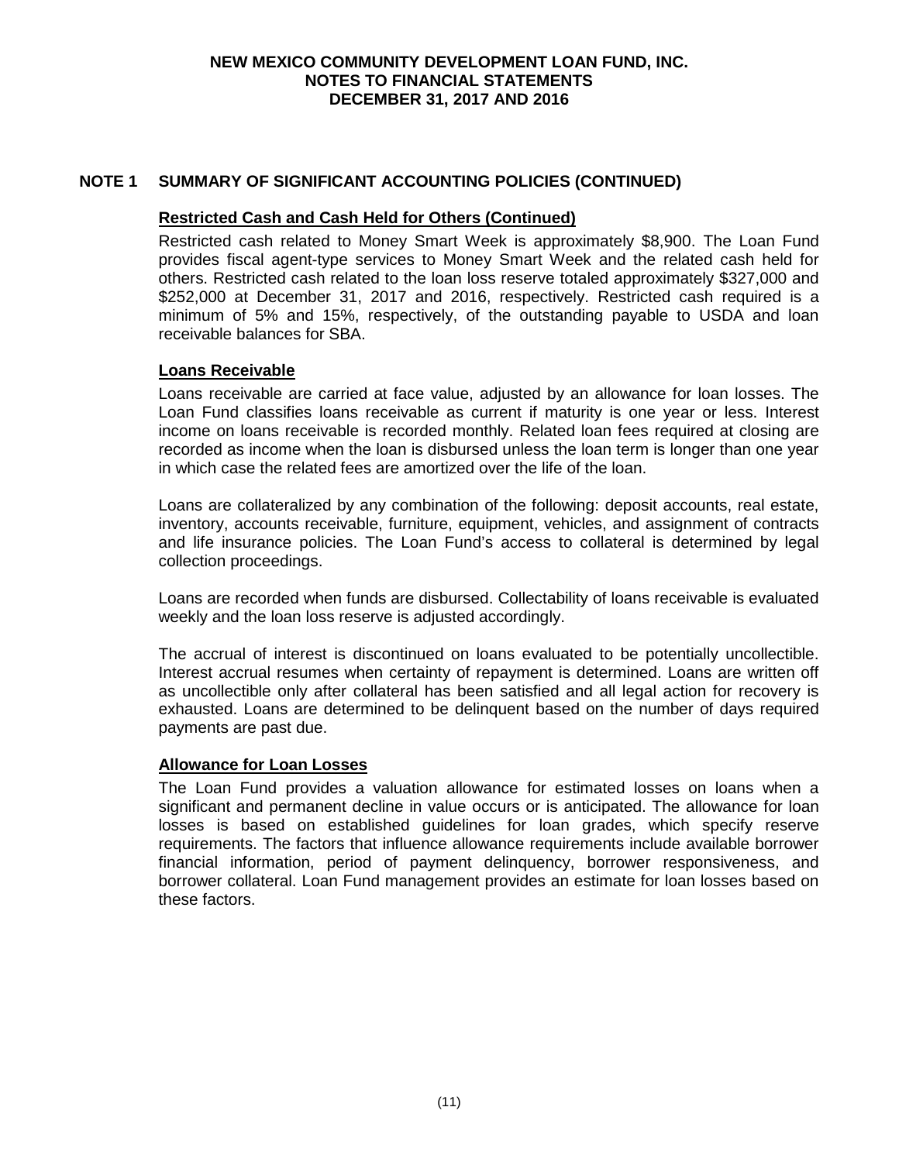## **NOTE 1 SUMMARY OF SIGNIFICANT ACCOUNTING POLICIES (CONTINUED)**

#### **Restricted Cash and Cash Held for Others (Continued)**

Restricted cash related to Money Smart Week is approximately \$8,900. The Loan Fund provides fiscal agent-type services to Money Smart Week and the related cash held for others. Restricted cash related to the loan loss reserve totaled approximately \$327,000 and \$252,000 at December 31, 2017 and 2016, respectively. Restricted cash required is a minimum of 5% and 15%, respectively, of the outstanding payable to USDA and loan receivable balances for SBA.

#### **Loans Receivable**

Loans receivable are carried at face value, adjusted by an allowance for loan losses. The Loan Fund classifies loans receivable as current if maturity is one year or less. Interest income on loans receivable is recorded monthly. Related loan fees required at closing are recorded as income when the loan is disbursed unless the loan term is longer than one year in which case the related fees are amortized over the life of the loan.

Loans are collateralized by any combination of the following: deposit accounts, real estate, inventory, accounts receivable, furniture, equipment, vehicles, and assignment of contracts and life insurance policies. The Loan Fund's access to collateral is determined by legal collection proceedings.

Loans are recorded when funds are disbursed. Collectability of loans receivable is evaluated weekly and the loan loss reserve is adjusted accordingly.

The accrual of interest is discontinued on loans evaluated to be potentially uncollectible. Interest accrual resumes when certainty of repayment is determined. Loans are written off as uncollectible only after collateral has been satisfied and all legal action for recovery is exhausted. Loans are determined to be delinquent based on the number of days required payments are past due.

#### **Allowance for Loan Losses**

The Loan Fund provides a valuation allowance for estimated losses on loans when a significant and permanent decline in value occurs or is anticipated. The allowance for loan losses is based on established guidelines for loan grades, which specify reserve requirements. The factors that influence allowance requirements include available borrower financial information, period of payment delinquency, borrower responsiveness, and borrower collateral. Loan Fund management provides an estimate for loan losses based on these factors.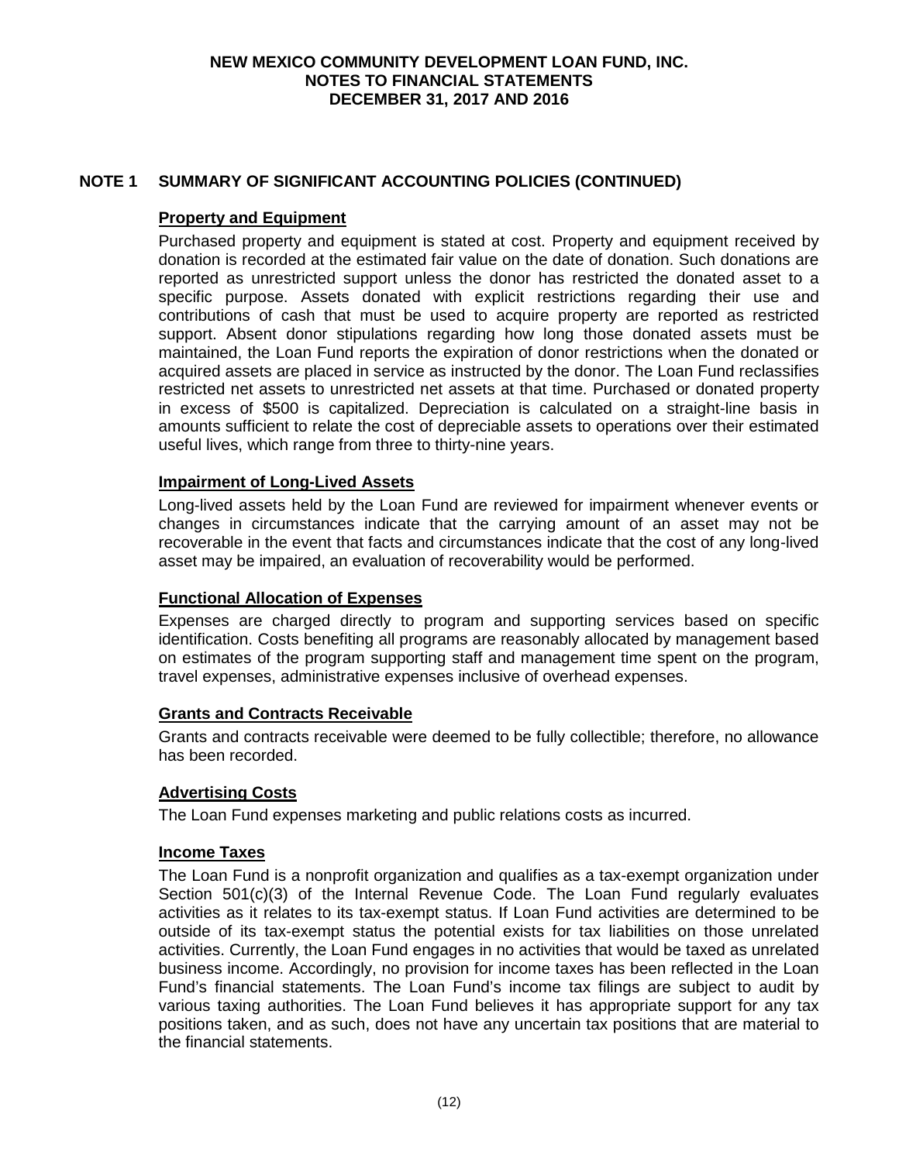# **NOTE 1 SUMMARY OF SIGNIFICANT ACCOUNTING POLICIES (CONTINUED)**

## **Property and Equipment**

Purchased property and equipment is stated at cost. Property and equipment received by donation is recorded at the estimated fair value on the date of donation. Such donations are reported as unrestricted support unless the donor has restricted the donated asset to a specific purpose. Assets donated with explicit restrictions regarding their use and contributions of cash that must be used to acquire property are reported as restricted support. Absent donor stipulations regarding how long those donated assets must be maintained, the Loan Fund reports the expiration of donor restrictions when the donated or acquired assets are placed in service as instructed by the donor. The Loan Fund reclassifies restricted net assets to unrestricted net assets at that time. Purchased or donated property in excess of \$500 is capitalized. Depreciation is calculated on a straight-line basis in amounts sufficient to relate the cost of depreciable assets to operations over their estimated useful lives, which range from three to thirty-nine years.

#### **Impairment of Long-Lived Assets**

Long-lived assets held by the Loan Fund are reviewed for impairment whenever events or changes in circumstances indicate that the carrying amount of an asset may not be recoverable in the event that facts and circumstances indicate that the cost of any long-lived asset may be impaired, an evaluation of recoverability would be performed.

## **Functional Allocation of Expenses**

Expenses are charged directly to program and supporting services based on specific identification. Costs benefiting all programs are reasonably allocated by management based on estimates of the program supporting staff and management time spent on the program, travel expenses, administrative expenses inclusive of overhead expenses.

## **Grants and Contracts Receivable**

Grants and contracts receivable were deemed to be fully collectible; therefore, no allowance has been recorded.

## **Advertising Costs**

The Loan Fund expenses marketing and public relations costs as incurred.

#### **Income Taxes**

The Loan Fund is a nonprofit organization and qualifies as a tax-exempt organization under Section 501(c)(3) of the Internal Revenue Code. The Loan Fund regularly evaluates activities as it relates to its tax-exempt status. If Loan Fund activities are determined to be outside of its tax-exempt status the potential exists for tax liabilities on those unrelated activities. Currently, the Loan Fund engages in no activities that would be taxed as unrelated business income. Accordingly, no provision for income taxes has been reflected in the Loan Fund's financial statements. The Loan Fund's income tax filings are subject to audit by various taxing authorities. The Loan Fund believes it has appropriate support for any tax positions taken, and as such, does not have any uncertain tax positions that are material to the financial statements.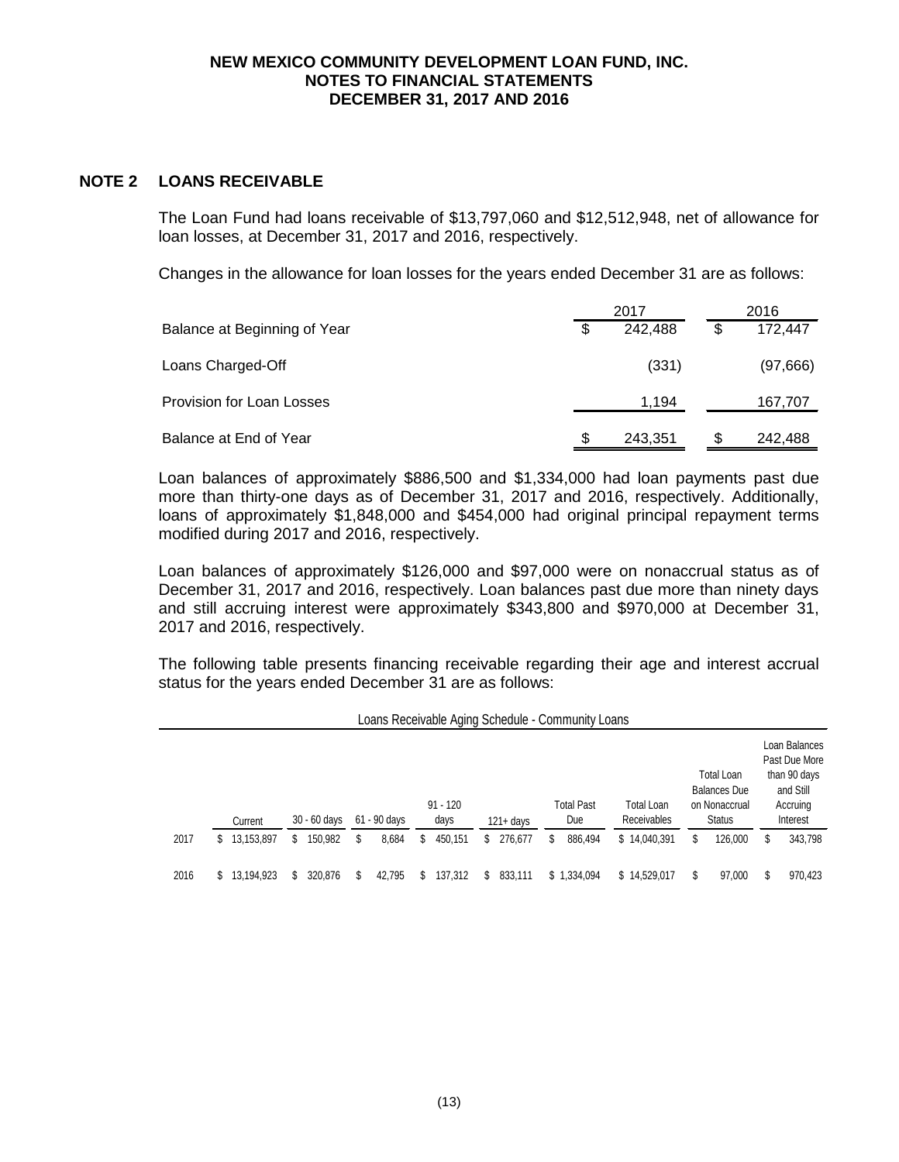#### **NOTE 2 LOANS RECEIVABLE**

The Loan Fund had loans receivable of \$13,797,060 and \$12,512,948, net of allowance for loan losses, at December 31, 2017 and 2016, respectively.

Changes in the allowance for loan losses for the years ended December 31 are as follows:

|                              |    | 2017    |   | 2016      |
|------------------------------|----|---------|---|-----------|
| Balance at Beginning of Year | \$ | 242,488 | S | 172,447   |
| Loans Charged-Off            |    | (331)   |   | (97, 666) |
| Provision for Loan Losses    |    | 1,194   |   | 167,707   |
| Balance at End of Year       | S  | 243,351 |   | 242,488   |

Loan balances of approximately \$886,500 and \$1,334,000 had loan payments past due more than thirty-one days as of December 31, 2017 and 2016, respectively. Additionally, loans of approximately \$1,848,000 and \$454,000 had original principal repayment terms modified during 2017 and 2016, respectively.

Loan balances of approximately \$126,000 and \$97,000 were on nonaccrual status as of December 31, 2017 and 2016, respectively. Loan balances past due more than ninety days and still accruing interest were approximately \$343,800 and \$970,000 at December 31, 2017 and 2016, respectively.

The following table presents financing receivable regarding their age and interest accrual status for the years ended December 31 are as follows:

|      | Loans Receivable Aging Schedule - Community Loans |                |              |                    |               |                          |                                  |                                                                            |                                                                                     |
|------|---------------------------------------------------|----------------|--------------|--------------------|---------------|--------------------------|----------------------------------|----------------------------------------------------------------------------|-------------------------------------------------------------------------------------|
|      | Current                                           | $30 - 60$ days | 61 - 90 days | $91 - 120$<br>days | $121 + days$  | <b>Total Past</b><br>Due | Total Loan<br><b>Receivables</b> | <b>Total Loan</b><br><b>Balances Due</b><br>on Nonaccrual<br><b>Status</b> | Loan Balances<br>Past Due More<br>than 90 days<br>and Still<br>Accruing<br>Interest |
| 2017 | 13.153.897<br>S.                                  | 150,982<br>S   | 8,684<br>\$  | 450,151<br>S       | 276,677<br>\$ | 886,494<br>\$            | \$14,040,391                     | 126,000<br>\$                                                              | 343,798<br>S                                                                        |
| 2016 | 13,194,923<br>S.                                  | 320,876<br>S.  | 42,795<br>S  | 137,312<br>S.      | 833,111<br>\$ | \$1,334,094              | \$14,529,017                     | 97,000<br>S                                                                | 970,423<br>S                                                                        |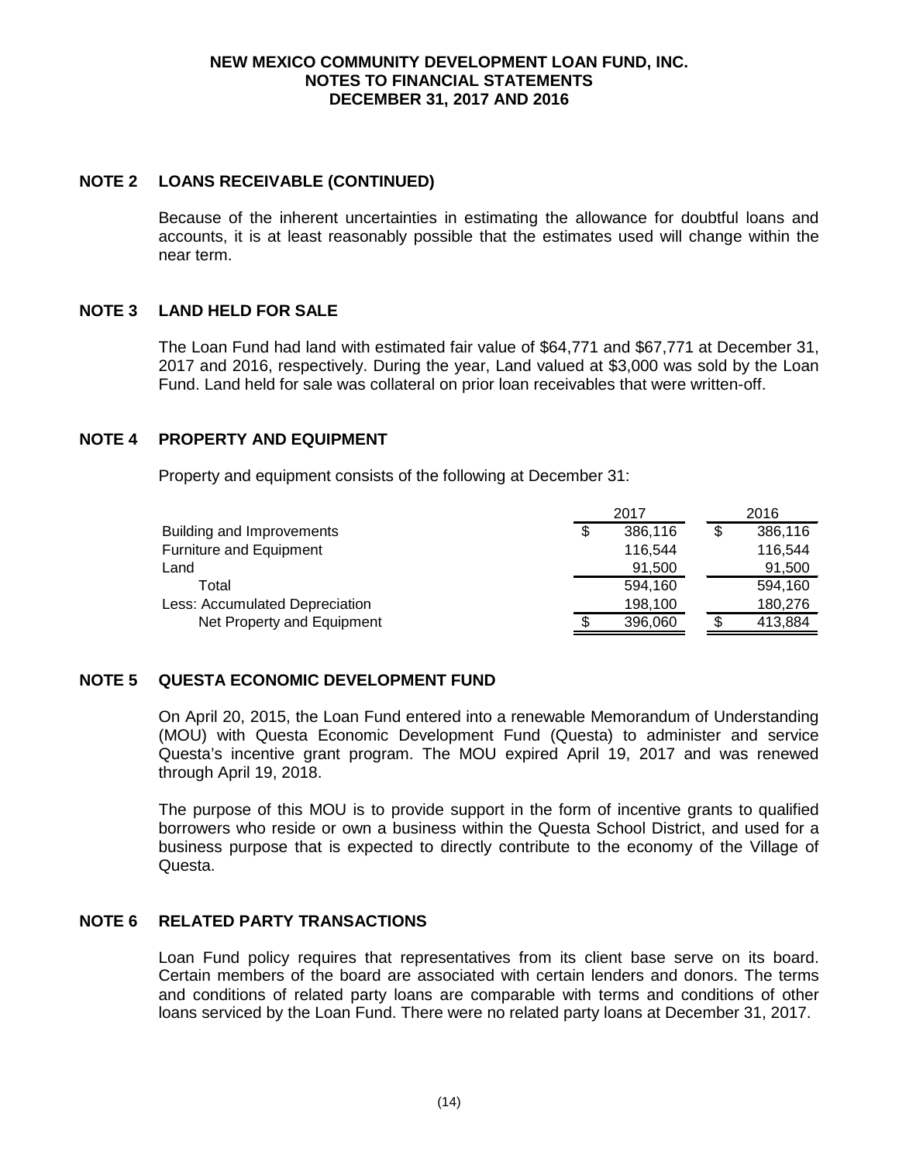# **NOTE 2 LOANS RECEIVABLE (CONTINUED)**

Because of the inherent uncertainties in estimating the allowance for doubtful loans and accounts, it is at least reasonably possible that the estimates used will change within the near term.

# **NOTE 3 LAND HELD FOR SALE**

The Loan Fund had land with estimated fair value of \$64,771 and \$67,771 at December 31, 2017 and 2016, respectively. During the year, Land valued at \$3,000 was sold by the Loan Fund. Land held for sale was collateral on prior loan receivables that were written-off.

## **NOTE 4 PROPERTY AND EQUIPMENT**

Property and equipment consists of the following at December 31:

|                                |    | 2017    |   | 2016    |
|--------------------------------|----|---------|---|---------|
| Building and Improvements      | \$ | 386,116 | S | 386,116 |
| Furniture and Equipment        |    | 116.544 |   | 116.544 |
| Land                           |    | 91.500  |   | 91,500  |
| Total                          |    | 594.160 |   | 594,160 |
| Less: Accumulated Depreciation |    | 198,100 |   | 180.276 |
| Net Property and Equipment     | S  | 396,060 |   | 413,884 |
|                                |    |         |   |         |

## **NOTE 5 QUESTA ECONOMIC DEVELOPMENT FUND**

On April 20, 2015, the Loan Fund entered into a renewable Memorandum of Understanding (MOU) with Questa Economic Development Fund (Questa) to administer and service Questa's incentive grant program. The MOU expired April 19, 2017 and was renewed through April 19, 2018.

The purpose of this MOU is to provide support in the form of incentive grants to qualified borrowers who reside or own a business within the Questa School District, and used for a business purpose that is expected to directly contribute to the economy of the Village of Questa.

# **NOTE 6 RELATED PARTY TRANSACTIONS**

Loan Fund policy requires that representatives from its client base serve on its board. Certain members of the board are associated with certain lenders and donors. The terms and conditions of related party loans are comparable with terms and conditions of other loans serviced by the Loan Fund. There were no related party loans at December 31, 2017.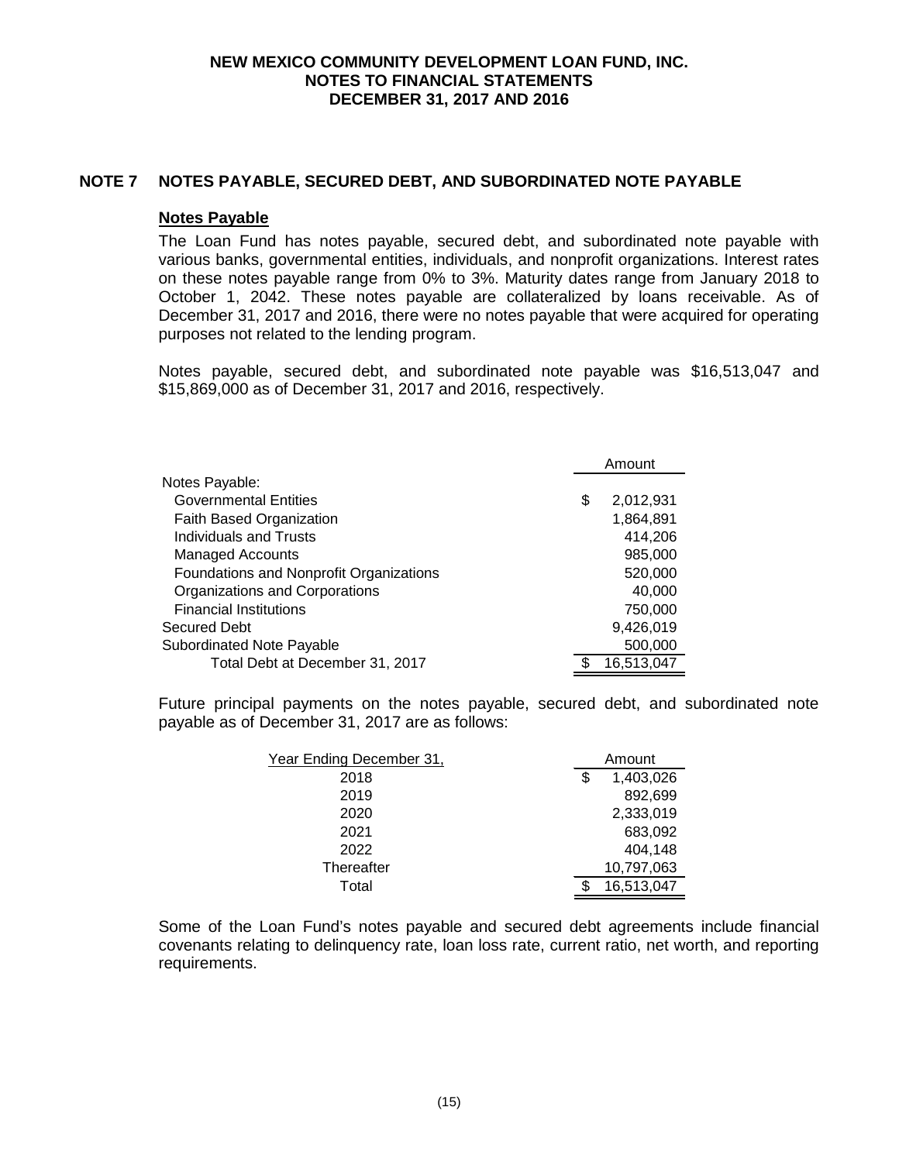## **NOTE 7 NOTES PAYABLE, SECURED DEBT, AND SUBORDINATED NOTE PAYABLE**

#### **Notes Payable**

The Loan Fund has notes payable, secured debt, and subordinated note payable with various banks, governmental entities, individuals, and nonprofit organizations. Interest rates on these notes payable range from 0% to 3%. Maturity dates range from January 2018 to October 1, 2042. These notes payable are collateralized by loans receivable. As of December 31, 2017 and 2016, there were no notes payable that were acquired for operating purposes not related to the lending program.

Notes payable, secured debt, and subordinated note payable was \$16,513,047 and \$15,869,000 as of December 31, 2017 and 2016, respectively.

|                                         | Amount          |
|-----------------------------------------|-----------------|
| Notes Payable:                          |                 |
| <b>Governmental Entities</b>            | \$<br>2,012,931 |
| <b>Faith Based Organization</b>         | 1,864,891       |
| <b>Individuals and Trusts</b>           | 414,206         |
| <b>Managed Accounts</b>                 | 985,000         |
| Foundations and Nonprofit Organizations | 520,000         |
| Organizations and Corporations          | 40,000          |
| <b>Financial Institutions</b>           | 750,000         |
| <b>Secured Debt</b>                     | 9,426,019       |
| Subordinated Note Payable               | 500,000         |
| Total Debt at December 31, 2017         | 16,513,047      |

Future principal payments on the notes payable, secured debt, and subordinated note payable as of December 31, 2017 are as follows:

| Year Ending December 31, |   | Amount     |
|--------------------------|---|------------|
| 2018                     | S | 1,403,026  |
| 2019                     |   | 892,699    |
| 2020                     |   | 2,333,019  |
| 2021                     |   | 683,092    |
| 2022                     |   | 404,148    |
| Thereafter               |   | 10,797,063 |
| Total                    |   | 16,513,047 |

Some of the Loan Fund's notes payable and secured debt agreements include financial covenants relating to delinquency rate, loan loss rate, current ratio, net worth, and reporting requirements.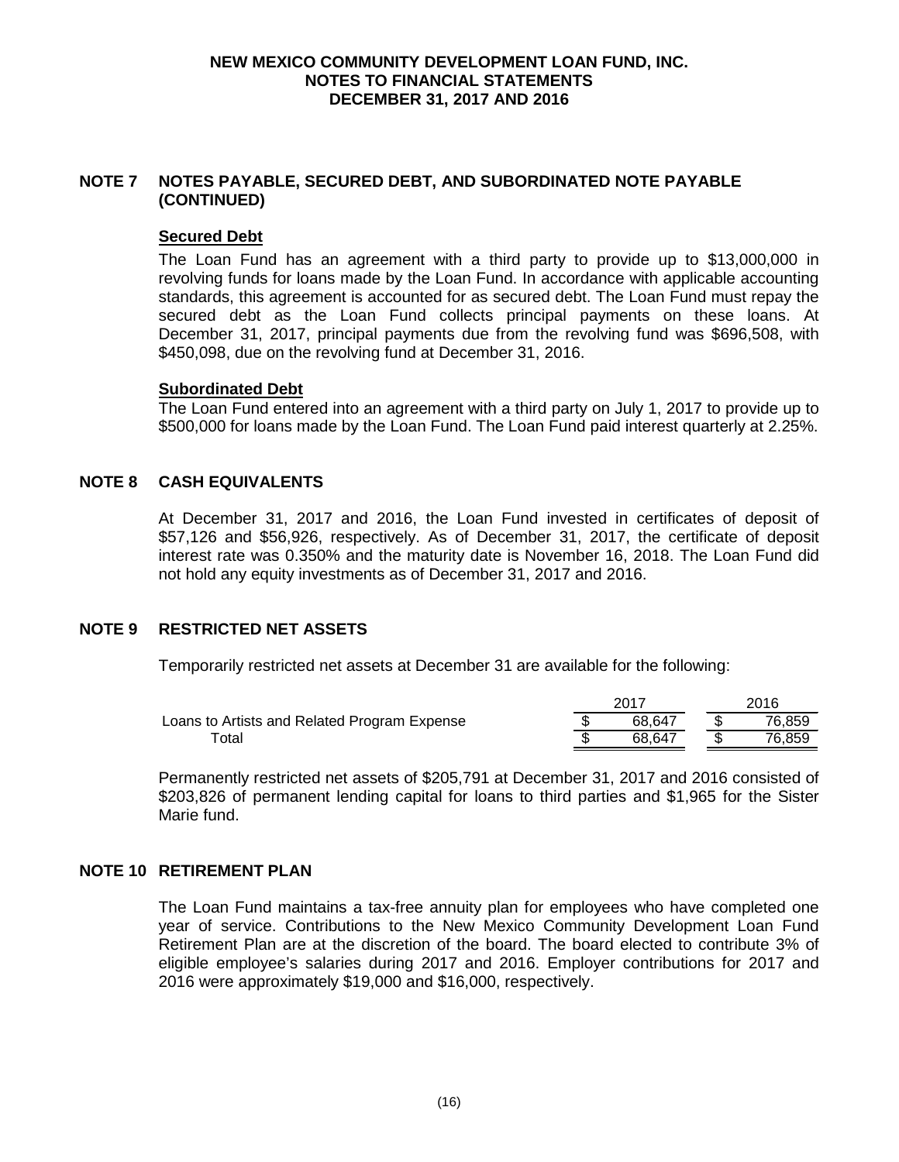## **NOTE 7 NOTES PAYABLE, SECURED DEBT, AND SUBORDINATED NOTE PAYABLE (CONTINUED)**

#### **Secured Debt**

The Loan Fund has an agreement with a third party to provide up to \$13,000,000 in revolving funds for loans made by the Loan Fund. In accordance with applicable accounting standards, this agreement is accounted for as secured debt. The Loan Fund must repay the secured debt as the Loan Fund collects principal payments on these loans. At December 31, 2017, principal payments due from the revolving fund was \$696,508, with \$450,098, due on the revolving fund at December 31, 2016.

#### **Subordinated Debt**

The Loan Fund entered into an agreement with a third party on July 1, 2017 to provide up to \$500,000 for loans made by the Loan Fund. The Loan Fund paid interest quarterly at 2.25%.

## **NOTE 8 CASH EQUIVALENTS**

At December 31, 2017 and 2016, the Loan Fund invested in certificates of deposit of \$57,126 and \$56,926, respectively. As of December 31, 2017, the certificate of deposit interest rate was 0.350% and the maturity date is November 16, 2018. The Loan Fund did not hold any equity investments as of December 31, 2017 and 2016.

## **NOTE 9 RESTRICTED NET ASSETS**

Temporarily restricted net assets at December 31 are available for the following:

|                                              | 2017 |        | 2016   |  |
|----------------------------------------------|------|--------|--------|--|
| Loans to Artists and Related Program Expense |      | 68.647 | 76.859 |  |
| ™otal                                        |      | 68.647 | 76.859 |  |

Permanently restricted net assets of \$205,791 at December 31, 2017 and 2016 consisted of \$203,826 of permanent lending capital for loans to third parties and \$1,965 for the Sister Marie fund.

#### **NOTE 10 RETIREMENT PLAN**

The Loan Fund maintains a tax-free annuity plan for employees who have completed one year of service. Contributions to the New Mexico Community Development Loan Fund Retirement Plan are at the discretion of the board. The board elected to contribute 3% of eligible employee's salaries during 2017 and 2016. Employer contributions for 2017 and 2016 were approximately \$19,000 and \$16,000, respectively.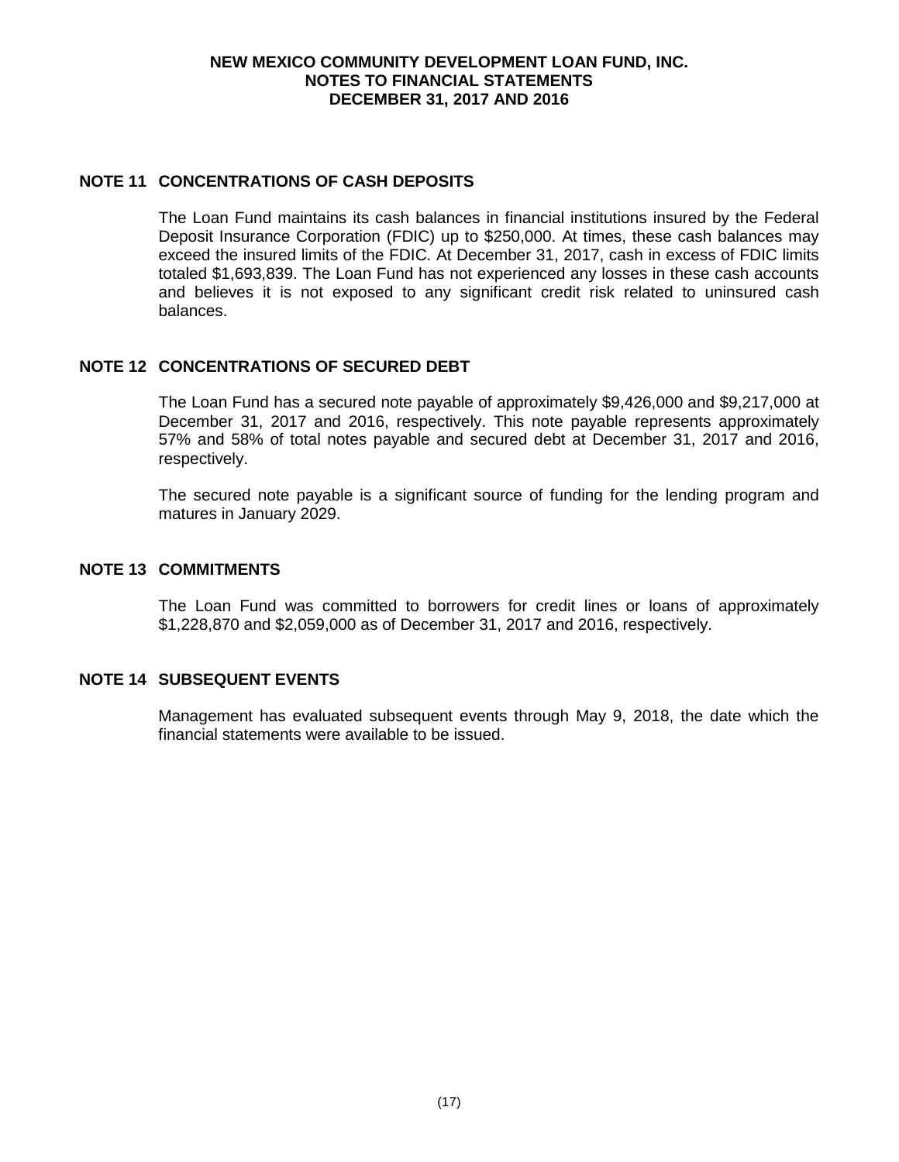## **NOTE 11 CONCENTRATIONS OF CASH DEPOSITS**

The Loan Fund maintains its cash balances in financial institutions insured by the Federal Deposit Insurance Corporation (FDIC) up to \$250,000. At times, these cash balances may exceed the insured limits of the FDIC. At December 31, 2017, cash in excess of FDIC limits totaled \$1,693,839. The Loan Fund has not experienced any losses in these cash accounts and believes it is not exposed to any significant credit risk related to uninsured cash balances.

## **NOTE 12 CONCENTRATIONS OF SECURED DEBT**

The Loan Fund has a secured note payable of approximately \$9,426,000 and \$9,217,000 at December 31, 2017 and 2016, respectively. This note payable represents approximately 57% and 58% of total notes payable and secured debt at December 31, 2017 and 2016, respectively.

The secured note payable is a significant source of funding for the lending program and matures in January 2029.

#### **NOTE 13 COMMITMENTS**

The Loan Fund was committed to borrowers for credit lines or loans of approximately \$1,228,870 and \$2,059,000 as of December 31, 2017 and 2016, respectively.

#### **NOTE 14 SUBSEQUENT EVENTS**

Management has evaluated subsequent events through May 9, 2018, the date which the financial statements were available to be issued.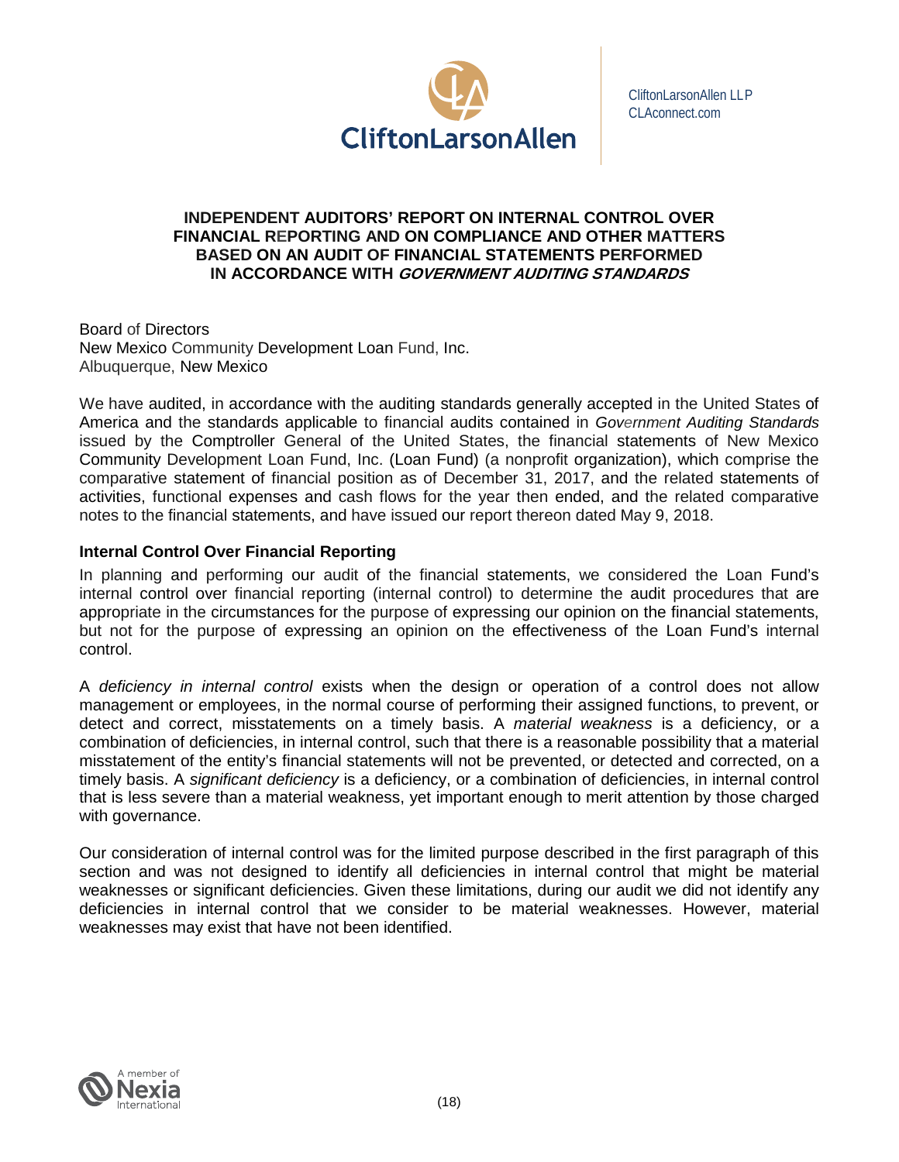

CliftonLarsonAllen LLP CLAconnect.com

#### **INDEPENDENT AUDITORS' REPORT ON INTERNAL CONTROL OVER FINANCIAL REPORTING AND ON COMPLIANCE AND OTHER MATTERS BASED ON AN AUDIT OF FINANCIAL STATEMENTS PERFORMED IN ACCORDANCE WITH GOVERNMENT AUDITING STANDARDS**

Board of Directors New Mexico Community Development Loan Fund, Inc. Albuquerque, New Mexico

We have audited, in accordance with the auditing standards generally accepted in the United States of America and the standards applicable to financial audits contained in *Government Auditing Standards*  issued by the Comptroller General of the United States, the financial statements of New Mexico Community Development Loan Fund, Inc. (Loan Fund) (a nonprofit organization), which comprise the comparative statement of financial position as of December 31, 2017, and the related statements of activities, functional expenses and cash flows for the year then ended, and the related comparative notes to the financial statements, and have issued our report thereon dated May 9, 2018.

#### **Internal Control Over Financial Reporting**

In planning and performing our audit of the financial statements, we considered the Loan Fund's internal control over financial reporting (internal control) to determine the audit procedures that are appropriate in the circumstances for the purpose of expressing our opinion on the financial statements, but not for the purpose of expressing an opinion on the effectiveness of the Loan Fund's internal control.

A *deficiency in internal control* exists when the design or operation of a control does not allow management or employees, in the normal course of performing their assigned functions, to prevent, or detect and correct, misstatements on a timely basis. A *material weakness* is a deficiency, or a combination of deficiencies, in internal control, such that there is a reasonable possibility that a material misstatement of the entity's financial statements will not be prevented, or detected and corrected, on a timely basis. A *significant deficiency* is a deficiency, or a combination of deficiencies, in internal control that is less severe than a material weakness, yet important enough to merit attention by those charged with governance.

Our consideration of internal control was for the limited purpose described in the first paragraph of this section and was not designed to identify all deficiencies in internal control that might be material weaknesses or significant deficiencies. Given these limitations, during our audit we did not identify any deficiencies in internal control that we consider to be material weaknesses. However, material weaknesses may exist that have not been identified.

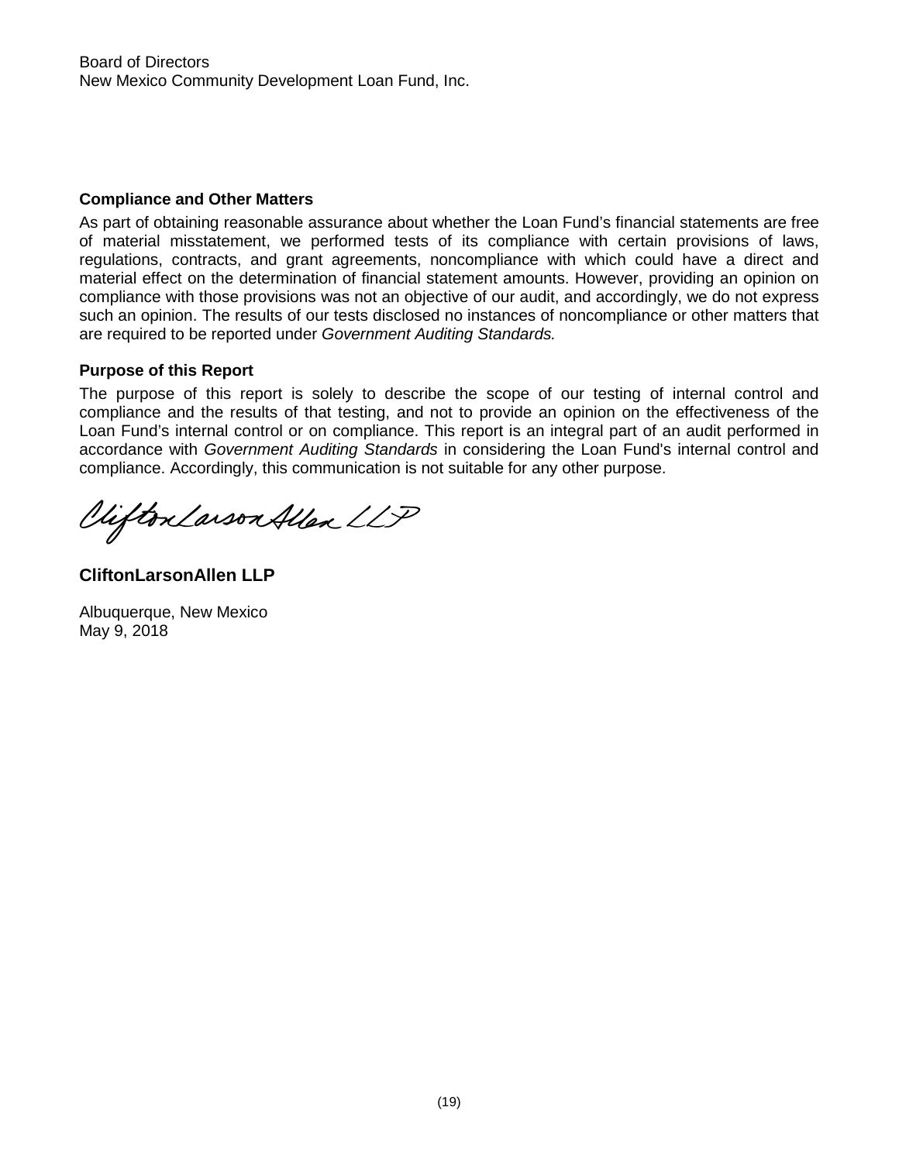# **Compliance and Other Matters**

As part of obtaining reasonable assurance about whether the Loan Fund's financial statements are free of material misstatement, we performed tests of its compliance with certain provisions of laws, regulations, contracts, and grant agreements, noncompliance with which could have a direct and material effect on the determination of financial statement amounts. However, providing an opinion on compliance with those provisions was not an objective of our audit, and accordingly, we do not express such an opinion. The results of our tests disclosed no instances of noncompliance or other matters that are required to be reported under *Government Auditing Standards.*

# **Purpose of this Report**

The purpose of this report is solely to describe the scope of our testing of internal control and compliance and the results of that testing, and not to provide an opinion on the effectiveness of the Loan Fund's internal control or on compliance. This report is an integral part of an audit performed in accordance with *Government Auditing Standards* in considering the Loan Fund's internal control and compliance. Accordingly, this communication is not suitable for any other purpose.

ViftonLarsonAllen LLP

**CliftonLarsonAllen LLP**

Albuquerque, New Mexico May 9, 2018